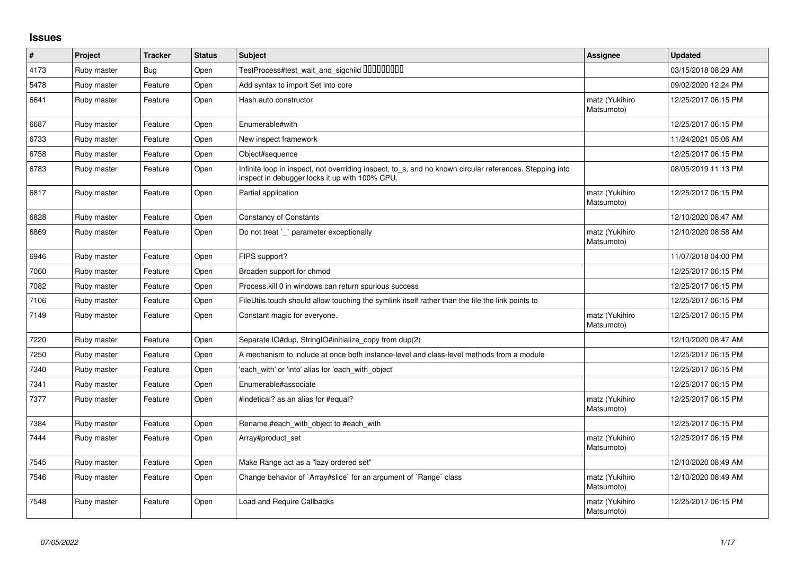## **Issues**

| $\vert$ # | Project     | <b>Tracker</b> | <b>Status</b> | <b>Subject</b>                                                                                                                                            | Assignee                     | <b>Updated</b>      |
|-----------|-------------|----------------|---------------|-----------------------------------------------------------------------------------------------------------------------------------------------------------|------------------------------|---------------------|
| 4173      | Ruby master | <b>Bug</b>     | Open          | TestProcess#test_wait_and_sigchild DDDDDDDD                                                                                                               |                              | 03/15/2018 08:29 AM |
| 5478      | Ruby master | Feature        | Open          | Add syntax to import Set into core                                                                                                                        |                              | 09/02/2020 12:24 PM |
| 6641      | Ruby master | Feature        | Open          | Hash.auto constructor                                                                                                                                     | matz (Yukihiro<br>Matsumoto) | 12/25/2017 06:15 PM |
| 6687      | Ruby master | Feature        | Open          | Enumerable#with                                                                                                                                           |                              | 12/25/2017 06:15 PM |
| 6733      | Ruby master | Feature        | Open          | New inspect framework                                                                                                                                     |                              | 11/24/2021 05:06 AM |
| 6758      | Ruby master | Feature        | Open          | Object#sequence                                                                                                                                           |                              | 12/25/2017 06:15 PM |
| 6783      | Ruby master | Feature        | Open          | Infinite loop in inspect, not overriding inspect, to_s, and no known circular references. Stepping into<br>inspect in debugger locks it up with 100% CPU. |                              | 08/05/2019 11:13 PM |
| 6817      | Ruby master | Feature        | Open          | Partial application                                                                                                                                       | matz (Yukihiro<br>Matsumoto) | 12/25/2017 06:15 PM |
| 6828      | Ruby master | Feature        | Open          | <b>Constancy of Constants</b>                                                                                                                             |                              | 12/10/2020 08:47 AM |
| 6869      | Ruby master | Feature        | Open          | Do not treat `_` parameter exceptionally                                                                                                                  | matz (Yukihiro<br>Matsumoto) | 12/10/2020 08:58 AM |
| 6946      | Ruby master | Feature        | Open          | FIPS support?                                                                                                                                             |                              | 11/07/2018 04:00 PM |
| 7060      | Ruby master | Feature        | Open          | Broaden support for chmod                                                                                                                                 |                              | 12/25/2017 06:15 PM |
| 7082      | Ruby master | Feature        | Open          | Process. kill 0 in windows can return spurious success                                                                                                    |                              | 12/25/2017 06:15 PM |
| 7106      | Ruby master | Feature        | Open          | FileUtils.touch should allow touching the symlink itself rather than the file the link points to                                                          |                              | 12/25/2017 06:15 PM |
| 7149      | Ruby master | Feature        | Open          | Constant magic for everyone.                                                                                                                              | matz (Yukihiro<br>Matsumoto) | 12/25/2017 06:15 PM |
| 7220      | Ruby master | Feature        | Open          | Separate IO#dup, StringIO#initialize_copy from dup(2)                                                                                                     |                              | 12/10/2020 08:47 AM |
| 7250      | Ruby master | Feature        | Open          | A mechanism to include at once both instance-level and class-level methods from a module                                                                  |                              | 12/25/2017 06:15 PM |
| 7340      | Ruby master | Feature        | Open          | 'each_with' or 'into' alias for 'each_with_object'                                                                                                        |                              | 12/25/2017 06:15 PM |
| 7341      | Ruby master | Feature        | Open          | Enumerable#associate                                                                                                                                      |                              | 12/25/2017 06:15 PM |
| 7377      | Ruby master | Feature        | Open          | #indetical? as an alias for #equal?                                                                                                                       | matz (Yukihiro<br>Matsumoto) | 12/25/2017 06:15 PM |
| 7384      | Ruby master | Feature        | Open          | Rename #each with object to #each with                                                                                                                    |                              | 12/25/2017 06:15 PM |
| 7444      | Ruby master | Feature        | Open          | Array#product set                                                                                                                                         | matz (Yukihiro<br>Matsumoto) | 12/25/2017 06:15 PM |
| 7545      | Ruby master | Feature        | Open          | Make Range act as a "lazy ordered set"                                                                                                                    |                              | 12/10/2020 08:49 AM |
| 7546      | Ruby master | Feature        | Open          | Change behavior of `Array#slice` for an argument of `Range` class                                                                                         | matz (Yukihiro<br>Matsumoto) | 12/10/2020 08:49 AM |
| 7548      | Ruby master | Feature        | Open          | Load and Require Callbacks                                                                                                                                | matz (Yukihiro<br>Matsumoto) | 12/25/2017 06:15 PM |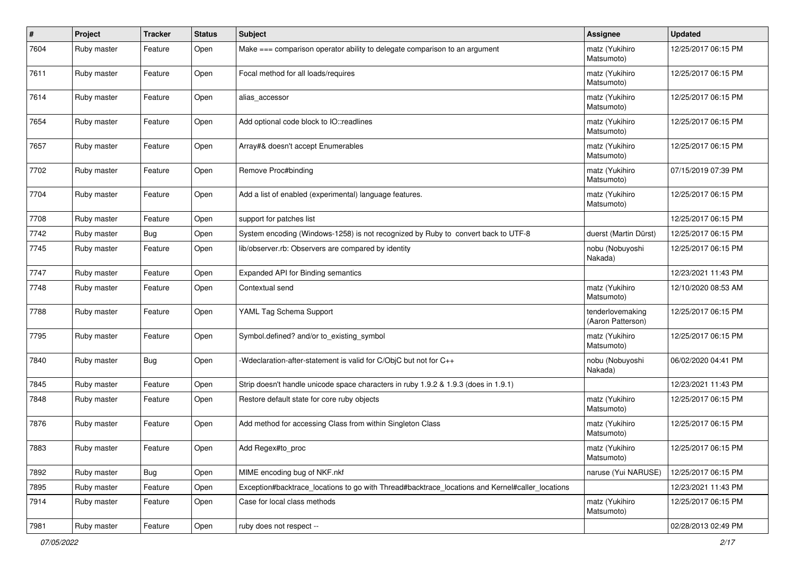| $\sharp$ | Project     | <b>Tracker</b> | <b>Status</b> | Subject                                                                                         | Assignee                              | <b>Updated</b>      |
|----------|-------------|----------------|---------------|-------------------------------------------------------------------------------------------------|---------------------------------------|---------------------|
| 7604     | Ruby master | Feature        | Open          | Make === comparison operator ability to delegate comparison to an argument                      | matz (Yukihiro<br>Matsumoto)          | 12/25/2017 06:15 PM |
| 7611     | Ruby master | Feature        | Open          | Focal method for all loads/requires                                                             | matz (Yukihiro<br>Matsumoto)          | 12/25/2017 06:15 PM |
| 7614     | Ruby master | Feature        | Open          | alias_accessor                                                                                  | matz (Yukihiro<br>Matsumoto)          | 12/25/2017 06:15 PM |
| 7654     | Ruby master | Feature        | Open          | Add optional code block to IO::readlines                                                        | matz (Yukihiro<br>Matsumoto)          | 12/25/2017 06:15 PM |
| 7657     | Ruby master | Feature        | Open          | Array#& doesn't accept Enumerables                                                              | matz (Yukihiro<br>Matsumoto)          | 12/25/2017 06:15 PM |
| 7702     | Ruby master | Feature        | Open          | Remove Proc#binding                                                                             | matz (Yukihiro<br>Matsumoto)          | 07/15/2019 07:39 PM |
| 7704     | Ruby master | Feature        | Open          | Add a list of enabled (experimental) language features.                                         | matz (Yukihiro<br>Matsumoto)          | 12/25/2017 06:15 PM |
| 7708     | Ruby master | Feature        | Open          | support for patches list                                                                        |                                       | 12/25/2017 06:15 PM |
| 7742     | Ruby master | Bug            | Open          | System encoding (Windows-1258) is not recognized by Ruby to convert back to UTF-8               | duerst (Martin Dürst)                 | 12/25/2017 06:15 PM |
| 7745     | Ruby master | Feature        | Open          | lib/observer.rb: Observers are compared by identity                                             | nobu (Nobuyoshi<br>Nakada)            | 12/25/2017 06:15 PM |
| 7747     | Ruby master | Feature        | Open          | Expanded API for Binding semantics                                                              |                                       | 12/23/2021 11:43 PM |
| 7748     | Ruby master | Feature        | Open          | Contextual send                                                                                 | matz (Yukihiro<br>Matsumoto)          | 12/10/2020 08:53 AM |
| 7788     | Ruby master | Feature        | Open          | YAML Tag Schema Support                                                                         | tenderlovemaking<br>(Aaron Patterson) | 12/25/2017 06:15 PM |
| 7795     | Ruby master | Feature        | Open          | Symbol.defined? and/or to_existing_symbol                                                       | matz (Yukihiro<br>Matsumoto)          | 12/25/2017 06:15 PM |
| 7840     | Ruby master | Bug            | Open          | -Wdeclaration-after-statement is valid for C/ObjC but not for C++                               | nobu (Nobuyoshi<br>Nakada)            | 06/02/2020 04:41 PM |
| 7845     | Ruby master | Feature        | Open          | Strip doesn't handle unicode space characters in ruby 1.9.2 & 1.9.3 (does in 1.9.1)             |                                       | 12/23/2021 11:43 PM |
| 7848     | Ruby master | Feature        | Open          | Restore default state for core ruby objects                                                     | matz (Yukihiro<br>Matsumoto)          | 12/25/2017 06:15 PM |
| 7876     | Ruby master | Feature        | Open          | Add method for accessing Class from within Singleton Class                                      | matz (Yukihiro<br>Matsumoto)          | 12/25/2017 06:15 PM |
| 7883     | Ruby master | Feature        | Open          | Add Regex#to_proc                                                                               | matz (Yukihiro<br>Matsumoto)          | 12/25/2017 06:15 PM |
| 7892     | Ruby master | Bug            | Open          | MIME encoding bug of NKF.nkf                                                                    | naruse (Yui NARUSE)                   | 12/25/2017 06:15 PM |
| 7895     | Ruby master | Feature        | Open          | Exception#backtrace_locations to go with Thread#backtrace_locations and Kernel#caller_locations |                                       | 12/23/2021 11:43 PM |
| 7914     | Ruby master | Feature        | Open          | Case for local class methods                                                                    | matz (Yukihiro<br>Matsumoto)          | 12/25/2017 06:15 PM |
| 7981     | Ruby master | Feature        | Open          | ruby does not respect --                                                                        |                                       | 02/28/2013 02:49 PM |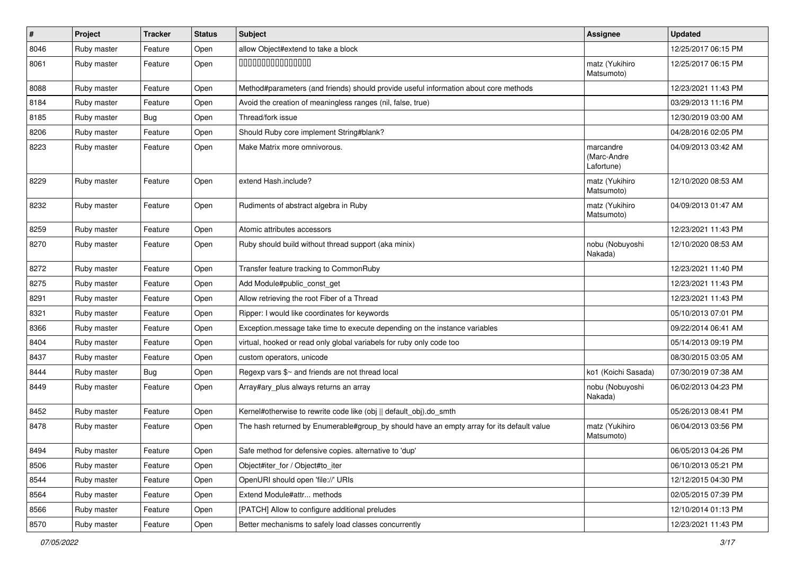| $\vert$ # | Project     | <b>Tracker</b> | <b>Status</b> | <b>Subject</b>                                                                            | <b>Assignee</b>                        | <b>Updated</b>      |
|-----------|-------------|----------------|---------------|-------------------------------------------------------------------------------------------|----------------------------------------|---------------------|
| 8046      | Ruby master | Feature        | Open          | allow Object#extend to take a block                                                       |                                        | 12/25/2017 06:15 PM |
| 8061      | Ruby master | Feature        | Open          | 000000000000000                                                                           | matz (Yukihiro<br>Matsumoto)           | 12/25/2017 06:15 PM |
| 8088      | Ruby master | Feature        | Open          | Method#parameters (and friends) should provide useful information about core methods      |                                        | 12/23/2021 11:43 PM |
| 8184      | Ruby master | Feature        | Open          | Avoid the creation of meaningless ranges (nil, false, true)                               |                                        | 03/29/2013 11:16 PM |
| 8185      | Ruby master | <b>Bug</b>     | Open          | Thread/fork issue                                                                         |                                        | 12/30/2019 03:00 AM |
| 8206      | Ruby master | Feature        | Open          | Should Ruby core implement String#blank?                                                  |                                        | 04/28/2016 02:05 PM |
| 8223      | Ruby master | Feature        | Open          | Make Matrix more omnivorous.                                                              | marcandre<br>(Marc-Andre<br>Lafortune) | 04/09/2013 03:42 AM |
| 8229      | Ruby master | Feature        | Open          | extend Hash.include?                                                                      | matz (Yukihiro<br>Matsumoto)           | 12/10/2020 08:53 AM |
| 8232      | Ruby master | Feature        | Open          | Rudiments of abstract algebra in Ruby                                                     | matz (Yukihiro<br>Matsumoto)           | 04/09/2013 01:47 AM |
| 8259      | Ruby master | Feature        | Open          | Atomic attributes accessors                                                               |                                        | 12/23/2021 11:43 PM |
| 8270      | Ruby master | Feature        | Open          | Ruby should build without thread support (aka minix)                                      | nobu (Nobuyoshi<br>Nakada)             | 12/10/2020 08:53 AM |
| 8272      | Ruby master | Feature        | Open          | Transfer feature tracking to CommonRuby                                                   |                                        | 12/23/2021 11:40 PM |
| 8275      | Ruby master | Feature        | Open          | Add Module#public_const_get                                                               |                                        | 12/23/2021 11:43 PM |
| 8291      | Ruby master | Feature        | Open          | Allow retrieving the root Fiber of a Thread                                               |                                        | 12/23/2021 11:43 PM |
| 8321      | Ruby master | Feature        | Open          | Ripper: I would like coordinates for keywords                                             |                                        | 05/10/2013 07:01 PM |
| 8366      | Ruby master | Feature        | Open          | Exception.message take time to execute depending on the instance variables                |                                        | 09/22/2014 06:41 AM |
| 8404      | Ruby master | Feature        | Open          | virtual, hooked or read only global variabels for ruby only code too                      |                                        | 05/14/2013 09:19 PM |
| 8437      | Ruby master | Feature        | Open          | custom operators, unicode                                                                 |                                        | 08/30/2015 03:05 AM |
| 8444      | Ruby master | Bug            | Open          | Regexp vars \$~ and friends are not thread local                                          | ko1 (Koichi Sasada)                    | 07/30/2019 07:38 AM |
| 8449      | Ruby master | Feature        | Open          | Array#ary_plus always returns an array                                                    | nobu (Nobuyoshi<br>Nakada)             | 06/02/2013 04:23 PM |
| 8452      | Ruby master | Feature        | Open          | Kernel#otherwise to rewrite code like (obj    default_obj).do_smth                        |                                        | 05/26/2013 08:41 PM |
| 8478      | Ruby master | Feature        | Open          | The hash returned by Enumerable#group by should have an empty array for its default value | matz (Yukihiro<br>Matsumoto)           | 06/04/2013 03:56 PM |
| 8494      | Ruby master | Feature        | Open          | Safe method for defensive copies. alternative to 'dup'                                    |                                        | 06/05/2013 04:26 PM |
| 8506      | Ruby master | Feature        | Open          | Object#iter for / Object#to iter                                                          |                                        | 06/10/2013 05:21 PM |
| 8544      | Ruby master | Feature        | Open          | OpenURI should open 'file://' URIs                                                        |                                        | 12/12/2015 04:30 PM |
| 8564      | Ruby master | Feature        | Open          | Extend Module#attr methods                                                                |                                        | 02/05/2015 07:39 PM |
| 8566      | Ruby master | Feature        | Open          | [PATCH] Allow to configure additional preludes                                            |                                        | 12/10/2014 01:13 PM |
| 8570      | Ruby master | Feature        | Open          | Better mechanisms to safely load classes concurrently                                     |                                        | 12/23/2021 11:43 PM |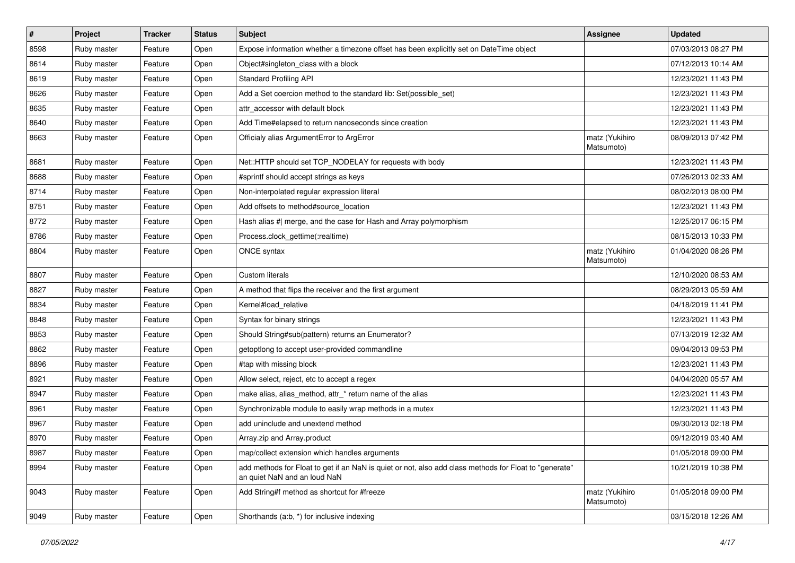| #    | Project     | <b>Tracker</b> | <b>Status</b> | <b>Subject</b>                                                                                                                         | <b>Assignee</b>              | <b>Updated</b>      |
|------|-------------|----------------|---------------|----------------------------------------------------------------------------------------------------------------------------------------|------------------------------|---------------------|
| 8598 | Ruby master | Feature        | Open          | Expose information whether a timezone offset has been explicitly set on DateTime object                                                |                              | 07/03/2013 08:27 PM |
| 8614 | Ruby master | Feature        | Open          | Object#singleton_class with a block                                                                                                    |                              | 07/12/2013 10:14 AM |
| 8619 | Ruby master | Feature        | Open          | <b>Standard Profiling API</b>                                                                                                          |                              | 12/23/2021 11:43 PM |
| 8626 | Ruby master | Feature        | Open          | Add a Set coercion method to the standard lib: Set(possible_set)                                                                       |                              | 12/23/2021 11:43 PM |
| 8635 | Ruby master | Feature        | Open          | attr accessor with default block                                                                                                       |                              | 12/23/2021 11:43 PM |
| 8640 | Ruby master | Feature        | Open          | Add Time#elapsed to return nanoseconds since creation                                                                                  |                              | 12/23/2021 11:43 PM |
| 8663 | Ruby master | Feature        | Open          | Officialy alias ArgumentError to ArgError                                                                                              | matz (Yukihiro<br>Matsumoto) | 08/09/2013 07:42 PM |
| 8681 | Ruby master | Feature        | Open          | Net::HTTP should set TCP_NODELAY for requests with body                                                                                |                              | 12/23/2021 11:43 PM |
| 8688 | Ruby master | Feature        | Open          | #sprintf should accept strings as keys                                                                                                 |                              | 07/26/2013 02:33 AM |
| 8714 | Ruby master | Feature        | Open          | Non-interpolated regular expression literal                                                                                            |                              | 08/02/2013 08:00 PM |
| 8751 | Ruby master | Feature        | Open          | Add offsets to method#source_location                                                                                                  |                              | 12/23/2021 11:43 PM |
| 8772 | Ruby master | Feature        | Open          | Hash alias #  merge, and the case for Hash and Array polymorphism                                                                      |                              | 12/25/2017 06:15 PM |
| 8786 | Ruby master | Feature        | Open          | Process.clock_gettime(:realtime)                                                                                                       |                              | 08/15/2013 10:33 PM |
| 8804 | Ruby master | Feature        | Open          | ONCE syntax                                                                                                                            | matz (Yukihiro<br>Matsumoto) | 01/04/2020 08:26 PM |
| 8807 | Ruby master | Feature        | Open          | <b>Custom literals</b>                                                                                                                 |                              | 12/10/2020 08:53 AM |
| 8827 | Ruby master | Feature        | Open          | A method that flips the receiver and the first argument                                                                                |                              | 08/29/2013 05:59 AM |
| 8834 | Ruby master | Feature        | Open          | Kernel#load_relative                                                                                                                   |                              | 04/18/2019 11:41 PM |
| 8848 | Ruby master | Feature        | Open          | Syntax for binary strings                                                                                                              |                              | 12/23/2021 11:43 PM |
| 8853 | Ruby master | Feature        | Open          | Should String#sub(pattern) returns an Enumerator?                                                                                      |                              | 07/13/2019 12:32 AM |
| 8862 | Ruby master | Feature        | Open          | getoptlong to accept user-provided commandline                                                                                         |                              | 09/04/2013 09:53 PM |
| 8896 | Ruby master | Feature        | Open          | #tap with missing block                                                                                                                |                              | 12/23/2021 11:43 PM |
| 8921 | Ruby master | Feature        | Open          | Allow select, reject, etc to accept a regex                                                                                            |                              | 04/04/2020 05:57 AM |
| 8947 | Ruby master | Feature        | Open          | make alias, alias_method, attr_* return name of the alias                                                                              |                              | 12/23/2021 11:43 PM |
| 8961 | Ruby master | Feature        | Open          | Synchronizable module to easily wrap methods in a mutex                                                                                |                              | 12/23/2021 11:43 PM |
| 8967 | Ruby master | Feature        | Open          | add uninclude and unextend method                                                                                                      |                              | 09/30/2013 02:18 PM |
| 8970 | Ruby master | Feature        | Open          | Array.zip and Array.product                                                                                                            |                              | 09/12/2019 03:40 AM |
| 8987 | Ruby master | Feature        | Open          | map/collect extension which handles arguments                                                                                          |                              | 01/05/2018 09:00 PM |
| 8994 | Ruby master | Feature        | Open          | add methods for Float to get if an NaN is quiet or not, also add class methods for Float to "generate"<br>an quiet NaN and an loud NaN |                              | 10/21/2019 10:38 PM |
| 9043 | Ruby master | Feature        | Open          | Add String#f method as shortcut for #freeze                                                                                            | matz (Yukihiro<br>Matsumoto) | 01/05/2018 09:00 PM |
| 9049 | Ruby master | Feature        | Open          | Shorthands (a:b, *) for inclusive indexing                                                                                             |                              | 03/15/2018 12:26 AM |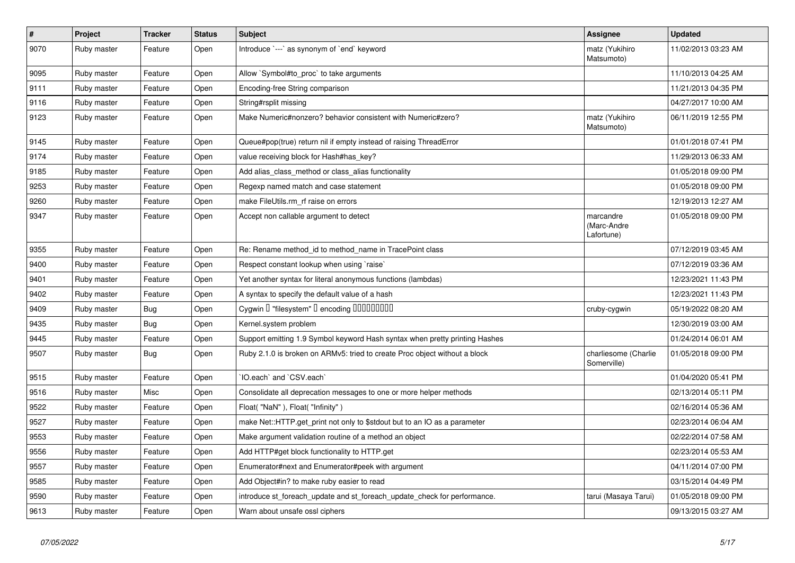| $\pmb{\#}$ | Project     | <b>Tracker</b> | <b>Status</b> | <b>Subject</b>                                                              | Assignee                               | <b>Updated</b>      |
|------------|-------------|----------------|---------------|-----------------------------------------------------------------------------|----------------------------------------|---------------------|
| 9070       | Ruby master | Feature        | Open          | Introduce `---` as synonym of `end` keyword                                 | matz (Yukihiro<br>Matsumoto)           | 11/02/2013 03:23 AM |
| 9095       | Ruby master | Feature        | Open          | Allow `Symbol#to proc` to take arguments                                    |                                        | 11/10/2013 04:25 AM |
| 9111       | Ruby master | Feature        | Open          | Encoding-free String comparison                                             |                                        | 11/21/2013 04:35 PM |
| 9116       | Ruby master | Feature        | Open          | String#rsplit missing                                                       |                                        | 04/27/2017 10:00 AM |
| 9123       | Ruby master | Feature        | Open          | Make Numeric#nonzero? behavior consistent with Numeric#zero?                | matz (Yukihiro<br>Matsumoto)           | 06/11/2019 12:55 PM |
| 9145       | Ruby master | Feature        | Open          | Queue#pop(true) return nil if empty instead of raising ThreadError          |                                        | 01/01/2018 07:41 PM |
| 9174       | Ruby master | Feature        | Open          | value receiving block for Hash#has_key?                                     |                                        | 11/29/2013 06:33 AM |
| 9185       | Ruby master | Feature        | Open          | Add alias class method or class alias functionality                         |                                        | 01/05/2018 09:00 PM |
| 9253       | Ruby master | Feature        | Open          | Regexp named match and case statement                                       |                                        | 01/05/2018 09:00 PM |
| 9260       | Ruby master | Feature        | Open          | make FileUtils.rm rf raise on errors                                        |                                        | 12/19/2013 12:27 AM |
| 9347       | Ruby master | Feature        | Open          | Accept non callable argument to detect                                      | marcandre<br>(Marc-Andre<br>Lafortune) | 01/05/2018 09:00 PM |
| 9355       | Ruby master | Feature        | Open          | Re: Rename method_id to method_name in TracePoint class                     |                                        | 07/12/2019 03:45 AM |
| 9400       | Ruby master | Feature        | Open          | Respect constant lookup when using `raise`                                  |                                        | 07/12/2019 03:36 AM |
| 9401       | Ruby master | Feature        | Open          | Yet another syntax for literal anonymous functions (lambdas)                |                                        | 12/23/2021 11:43 PM |
| 9402       | Ruby master | Feature        | Open          | A syntax to specify the default value of a hash                             |                                        | 12/23/2021 11:43 PM |
| 9409       | Ruby master | <b>Bug</b>     | Open          | Cygwin I "filesystem" I encoding IIIIIIIIIIIII                              | cruby-cygwin                           | 05/19/2022 08:20 AM |
| 9435       | Ruby master | Bug            | Open          | Kernel.system problem                                                       |                                        | 12/30/2019 03:00 AM |
| 9445       | Ruby master | Feature        | Open          | Support emitting 1.9 Symbol keyword Hash syntax when pretty printing Hashes |                                        | 01/24/2014 06:01 AM |
| 9507       | Ruby master | <b>Bug</b>     | Open          | Ruby 2.1.0 is broken on ARMv5: tried to create Proc object without a block  | charliesome (Charlie<br>Somerville)    | 01/05/2018 09:00 PM |
| 9515       | Ruby master | Feature        | Open          | IO.each` and `CSV.each`                                                     |                                        | 01/04/2020 05:41 PM |
| 9516       | Ruby master | Misc           | Open          | Consolidate all deprecation messages to one or more helper methods          |                                        | 02/13/2014 05:11 PM |
| 9522       | Ruby master | Feature        | Open          | Float("NaN"), Float("Infinity")                                             |                                        | 02/16/2014 05:36 AM |
| 9527       | Ruby master | Feature        | Open          | make Net::HTTP.get_print not only to \$stdout but to an IO as a parameter   |                                        | 02/23/2014 06:04 AM |
| 9553       | Ruby master | Feature        | Open          | Make argument validation routine of a method an object                      |                                        | 02/22/2014 07:58 AM |
| 9556       | Ruby master | Feature        | Open          | Add HTTP#get block functionality to HTTP.get                                |                                        | 02/23/2014 05:53 AM |
| 9557       | Ruby master | Feature        | Open          | Enumerator#next and Enumerator#peek with argument                           |                                        | 04/11/2014 07:00 PM |
| 9585       | Ruby master | Feature        | Open          | Add Object#in? to make ruby easier to read                                  |                                        | 03/15/2014 04:49 PM |
| 9590       | Ruby master | Feature        | Open          | introduce st foreach update and st foreach update check for performance.    | tarui (Masaya Tarui)                   | 01/05/2018 09:00 PM |
| 9613       | Ruby master | Feature        | Open          | Warn about unsafe ossl ciphers                                              |                                        | 09/13/2015 03:27 AM |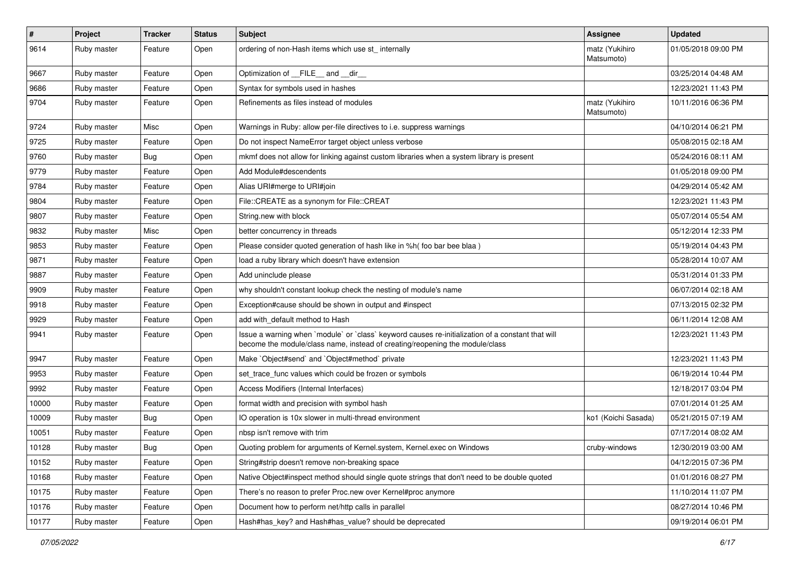| $\sharp$ | Project     | <b>Tracker</b> | <b>Status</b> | <b>Subject</b>                                                                                                                                                                    | <b>Assignee</b>              | <b>Updated</b>      |
|----------|-------------|----------------|---------------|-----------------------------------------------------------------------------------------------------------------------------------------------------------------------------------|------------------------------|---------------------|
| 9614     | Ruby master | Feature        | Open          | ordering of non-Hash items which use st_ internally                                                                                                                               | matz (Yukihiro<br>Matsumoto) | 01/05/2018 09:00 PM |
| 9667     | Ruby master | Feature        | Open          | Optimization of FILE and dir                                                                                                                                                      |                              | 03/25/2014 04:48 AM |
| 9686     | Ruby master | Feature        | Open          | Syntax for symbols used in hashes                                                                                                                                                 |                              | 12/23/2021 11:43 PM |
| 9704     | Ruby master | Feature        | Open          | Refinements as files instead of modules                                                                                                                                           | matz (Yukihiro<br>Matsumoto) | 10/11/2016 06:36 PM |
| 9724     | Ruby master | Misc           | Open          | Warnings in Ruby: allow per-file directives to i.e. suppress warnings                                                                                                             |                              | 04/10/2014 06:21 PM |
| 9725     | Ruby master | Feature        | Open          | Do not inspect NameError target object unless verbose                                                                                                                             |                              | 05/08/2015 02:18 AM |
| 9760     | Ruby master | Bug            | Open          | mkmf does not allow for linking against custom libraries when a system library is present                                                                                         |                              | 05/24/2016 08:11 AM |
| 9779     | Ruby master | Feature        | Open          | Add Module#descendents                                                                                                                                                            |                              | 01/05/2018 09:00 PM |
| 9784     | Ruby master | Feature        | Open          | Alias URI#merge to URI#join                                                                                                                                                       |                              | 04/29/2014 05:42 AM |
| 9804     | Ruby master | Feature        | Open          | File::CREATE as a synonym for File::CREAT                                                                                                                                         |                              | 12/23/2021 11:43 PM |
| 9807     | Ruby master | Feature        | Open          | String.new with block                                                                                                                                                             |                              | 05/07/2014 05:54 AM |
| 9832     | Ruby master | Misc           | Open          | better concurrency in threads                                                                                                                                                     |                              | 05/12/2014 12:33 PM |
| 9853     | Ruby master | Feature        | Open          | Please consider quoted generation of hash like in %h( foo bar bee blaa)                                                                                                           |                              | 05/19/2014 04:43 PM |
| 9871     | Ruby master | Feature        | Open          | load a ruby library which doesn't have extension                                                                                                                                  |                              | 05/28/2014 10:07 AM |
| 9887     | Ruby master | Feature        | Open          | Add uninclude please                                                                                                                                                              |                              | 05/31/2014 01:33 PM |
| 9909     | Ruby master | Feature        | Open          | why shouldn't constant lookup check the nesting of module's name                                                                                                                  |                              | 06/07/2014 02:18 AM |
| 9918     | Ruby master | Feature        | Open          | Exception#cause should be shown in output and #inspect                                                                                                                            |                              | 07/13/2015 02:32 PM |
| 9929     | Ruby master | Feature        | Open          | add with default method to Hash                                                                                                                                                   |                              | 06/11/2014 12:08 AM |
| 9941     | Ruby master | Feature        | Open          | Issue a warning when `module` or `class` keyword causes re-initialization of a constant that will<br>become the module/class name, instead of creating/reopening the module/class |                              | 12/23/2021 11:43 PM |
| 9947     | Ruby master | Feature        | Open          | Make `Object#send` and `Object#method` private                                                                                                                                    |                              | 12/23/2021 11:43 PM |
| 9953     | Ruby master | Feature        | Open          | set trace func values which could be frozen or symbols                                                                                                                            |                              | 06/19/2014 10:44 PM |
| 9992     | Ruby master | Feature        | Open          | Access Modifiers (Internal Interfaces)                                                                                                                                            |                              | 12/18/2017 03:04 PM |
| 10000    | Ruby master | Feature        | Open          | format width and precision with symbol hash                                                                                                                                       |                              | 07/01/2014 01:25 AM |
| 10009    | Ruby master | Bug            | Open          | IO operation is 10x slower in multi-thread environment                                                                                                                            | ko1 (Koichi Sasada)          | 05/21/2015 07:19 AM |
| 10051    | Ruby master | Feature        | Open          | nbsp isn't remove with trim                                                                                                                                                       |                              | 07/17/2014 08:02 AM |
| 10128    | Ruby master | Bug            | Open          | Quoting problem for arguments of Kernel.system, Kernel.exec on Windows                                                                                                            | cruby-windows                | 12/30/2019 03:00 AM |
| 10152    | Ruby master | Feature        | Open          | String#strip doesn't remove non-breaking space                                                                                                                                    |                              | 04/12/2015 07:36 PM |
| 10168    | Ruby master | Feature        | Open          | Native Object#inspect method should single quote strings that don't need to be double quoted                                                                                      |                              | 01/01/2016 08:27 PM |
| 10175    | Ruby master | Feature        | Open          | There's no reason to prefer Proc.new over Kernel#proc anymore                                                                                                                     |                              | 11/10/2014 11:07 PM |
| 10176    | Ruby master | Feature        | Open          | Document how to perform net/http calls in parallel                                                                                                                                |                              | 08/27/2014 10:46 PM |
| 10177    | Ruby master | Feature        | Open          | Hash#has_key? and Hash#has_value? should be deprecated                                                                                                                            |                              | 09/19/2014 06:01 PM |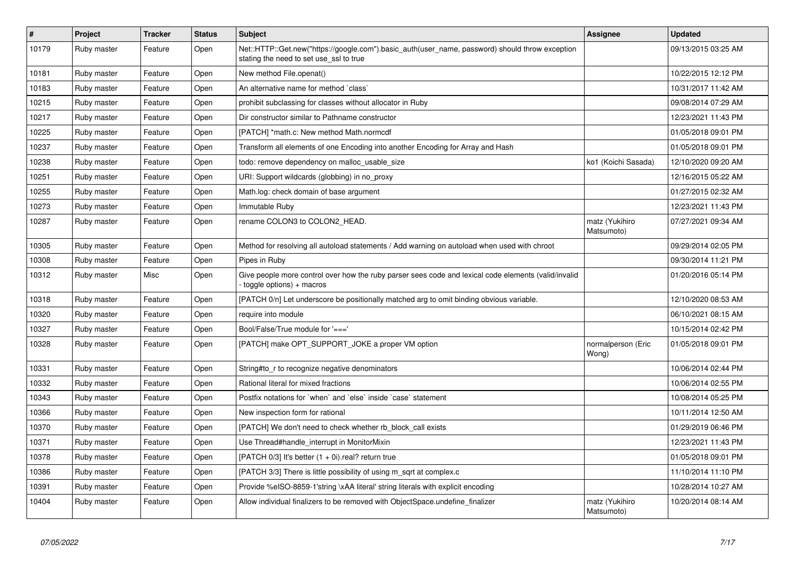| $\vert$ # | <b>Project</b> | <b>Tracker</b> | <b>Status</b> | <b>Subject</b>                                                                                                                             | Assignee                     | <b>Updated</b>      |
|-----------|----------------|----------------|---------------|--------------------------------------------------------------------------------------------------------------------------------------------|------------------------------|---------------------|
| 10179     | Ruby master    | Feature        | Open          | Net::HTTP::Get.new("https://google.com").basic_auth(user_name, password) should throw exception<br>stating the need to set use_ssl to true |                              | 09/13/2015 03:25 AM |
| 10181     | Ruby master    | Feature        | Open          | New method File.openat()                                                                                                                   |                              | 10/22/2015 12:12 PM |
| 10183     | Ruby master    | Feature        | Open          | An alternative name for method `class`                                                                                                     |                              | 10/31/2017 11:42 AM |
| 10215     | Ruby master    | Feature        | Open          | prohibit subclassing for classes without allocator in Ruby                                                                                 |                              | 09/08/2014 07:29 AM |
| 10217     | Ruby master    | Feature        | Open          | Dir constructor similar to Pathname constructor                                                                                            |                              | 12/23/2021 11:43 PM |
| 10225     | Ruby master    | Feature        | Open          | [PATCH] *math.c: New method Math.normcdf                                                                                                   |                              | 01/05/2018 09:01 PM |
| 10237     | Ruby master    | Feature        | Open          | Transform all elements of one Encoding into another Encoding for Array and Hash                                                            |                              | 01/05/2018 09:01 PM |
| 10238     | Ruby master    | Feature        | Open          | todo: remove dependency on malloc usable size                                                                                              | ko1 (Koichi Sasada)          | 12/10/2020 09:20 AM |
| 10251     | Ruby master    | Feature        | Open          | URI: Support wildcards (globbing) in no_proxy                                                                                              |                              | 12/16/2015 05:22 AM |
| 10255     | Ruby master    | Feature        | Open          | Math.log: check domain of base argument                                                                                                    |                              | 01/27/2015 02:32 AM |
| 10273     | Ruby master    | Feature        | Open          | Immutable Ruby                                                                                                                             |                              | 12/23/2021 11:43 PM |
| 10287     | Ruby master    | Feature        | Open          | rename COLON3 to COLON2 HEAD.                                                                                                              | matz (Yukihiro<br>Matsumoto) | 07/27/2021 09:34 AM |
| 10305     | Ruby master    | Feature        | Open          | Method for resolving all autoload statements / Add warning on autoload when used with chroot                                               |                              | 09/29/2014 02:05 PM |
| 10308     | Ruby master    | Feature        | Open          | Pipes in Ruby                                                                                                                              |                              | 09/30/2014 11:21 PM |
| 10312     | Ruby master    | Misc           | Open          | Give people more control over how the ruby parser sees code and lexical code elements (valid/invalid<br>toggle options) + macros           |                              | 01/20/2016 05:14 PM |
| 10318     | Ruby master    | Feature        | Open          | [PATCH 0/n] Let underscore be positionally matched arg to omit binding obvious variable.                                                   |                              | 12/10/2020 08:53 AM |
| 10320     | Ruby master    | Feature        | Open          | require into module                                                                                                                        |                              | 06/10/2021 08:15 AM |
| 10327     | Ruby master    | Feature        | Open          | Bool/False/True module for $'=='$                                                                                                          |                              | 10/15/2014 02:42 PM |
| 10328     | Ruby master    | Feature        | Open          | [PATCH] make OPT SUPPORT JOKE a proper VM option                                                                                           | normalperson (Eric<br>Wong)  | 01/05/2018 09:01 PM |
| 10331     | Ruby master    | Feature        | Open          | String#to r to recognize negative denominators                                                                                             |                              | 10/06/2014 02:44 PM |
| 10332     | Ruby master    | Feature        | Open          | Rational literal for mixed fractions                                                                                                       |                              | 10/06/2014 02:55 PM |
| 10343     | Ruby master    | Feature        | Open          | Postfix notations for 'when' and 'else' inside 'case' statement                                                                            |                              | 10/08/2014 05:25 PM |
| 10366     | Ruby master    | Feature        | Open          | New inspection form for rational                                                                                                           |                              | 10/11/2014 12:50 AM |
| 10370     | Ruby master    | Feature        | Open          | [PATCH] We don't need to check whether rb_block_call exists                                                                                |                              | 01/29/2019 06:46 PM |
| 10371     | Ruby master    | Feature        | Open          | Use Thread#handle_interrupt in MonitorMixin                                                                                                |                              | 12/23/2021 11:43 PM |
| 10378     | Ruby master    | Feature        | Open          | [PATCH $0/3$ ] It's better $(1 + 0i)$ .real? return true                                                                                   |                              | 01/05/2018 09:01 PM |
| 10386     | Ruby master    | Feature        | Open          | [PATCH 3/3] There is little possibility of using m sqrt at complex.c                                                                       |                              | 11/10/2014 11:10 PM |
| 10391     | Ruby master    | Feature        | Open          | Provide %eISO-8859-1'string \xAA literal' string literals with explicit encoding                                                           |                              | 10/28/2014 10:27 AM |
| 10404     | Ruby master    | Feature        | Open          | Allow individual finalizers to be removed with ObjectSpace.undefine_finalizer                                                              | matz (Yukihiro<br>Matsumoto) | 10/20/2014 08:14 AM |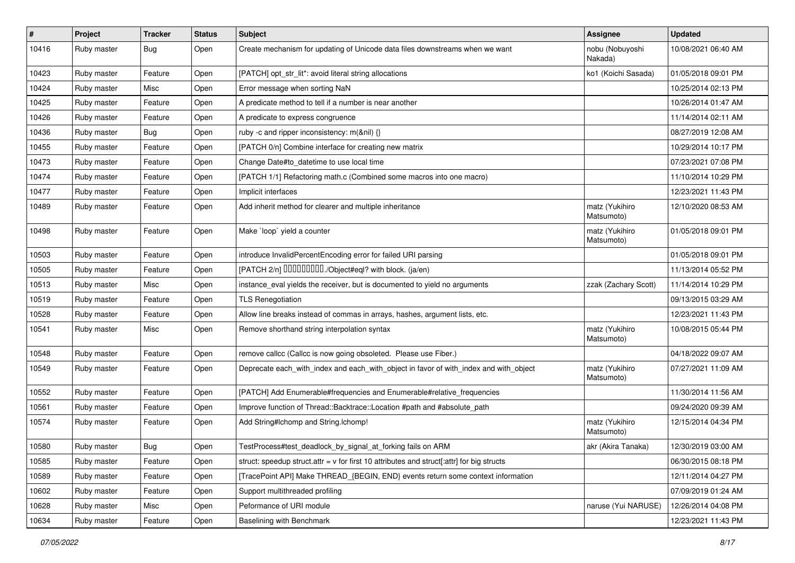| $\vert$ # | Project     | <b>Tracker</b> | <b>Status</b> | Subject                                                                                   | Assignee                     | <b>Updated</b>      |
|-----------|-------------|----------------|---------------|-------------------------------------------------------------------------------------------|------------------------------|---------------------|
| 10416     | Ruby master | <b>Bug</b>     | Open          | Create mechanism for updating of Unicode data files downstreams when we want              | nobu (Nobuyoshi<br>Nakada)   | 10/08/2021 06:40 AM |
| 10423     | Ruby master | Feature        | Open          | [PATCH] opt_str_lit*: avoid literal string allocations                                    | ko1 (Koichi Sasada)          | 01/05/2018 09:01 PM |
| 10424     | Ruby master | Misc           | Open          | Error message when sorting NaN                                                            |                              | 10/25/2014 02:13 PM |
| 10425     | Ruby master | Feature        | Open          | A predicate method to tell if a number is near another                                    |                              | 10/26/2014 01:47 AM |
| 10426     | Ruby master | Feature        | Open          | A predicate to express congruence                                                         |                              | 11/14/2014 02:11 AM |
| 10436     | Ruby master | Bug            | Open          | ruby -c and ripper inconsistency: m(&nil) {}                                              |                              | 08/27/2019 12:08 AM |
| 10455     | Ruby master | Feature        | Open          | [PATCH 0/n] Combine interface for creating new matrix                                     |                              | 10/29/2014 10:17 PM |
| 10473     | Ruby master | Feature        | Open          | Change Date#to_datetime to use local time                                                 |                              | 07/23/2021 07:08 PM |
| 10474     | Ruby master | Feature        | Open          | [PATCH 1/1] Refactoring math.c (Combined some macros into one macro)                      |                              | 11/10/2014 10:29 PM |
| 10477     | Ruby master | Feature        | Open          | Implicit interfaces                                                                       |                              | 12/23/2021 11:43 PM |
| 10489     | Ruby master | Feature        | Open          | Add inherit method for clearer and multiple inheritance                                   | matz (Yukihiro<br>Matsumoto) | 12/10/2020 08:53 AM |
| 10498     | Ruby master | Feature        | Open          | Make `loop` yield a counter                                                               | matz (Yukihiro<br>Matsumoto) | 01/05/2018 09:01 PM |
| 10503     | Ruby master | Feature        | Open          | introduce InvalidPercentEncoding error for failed URI parsing                             |                              | 01/05/2018 09:01 PM |
| 10505     | Ruby master | Feature        | Open          | [PATCH 2/n] DDDDDDDD./Object#eql? with block. (ja/en)                                     |                              | 11/13/2014 05:52 PM |
| 10513     | Ruby master | Misc           | Open          | instance_eval yields the receiver, but is documented to yield no arguments                | zzak (Zachary Scott)         | 11/14/2014 10:29 PM |
| 10519     | Ruby master | Feature        | Open          | <b>TLS Renegotiation</b>                                                                  |                              | 09/13/2015 03:29 AM |
| 10528     | Ruby master | Feature        | Open          | Allow line breaks instead of commas in arrays, hashes, argument lists, etc.               |                              | 12/23/2021 11:43 PM |
| 10541     | Ruby master | Misc           | Open          | Remove shorthand string interpolation syntax                                              | matz (Yukihiro<br>Matsumoto) | 10/08/2015 05:44 PM |
| 10548     | Ruby master | Feature        | Open          | remove callcc (Callcc is now going obsoleted. Please use Fiber.)                          |                              | 04/18/2022 09:07 AM |
| 10549     | Ruby master | Feature        | Open          | Deprecate each_with_index and each_with_object in favor of with_index and with_object     | matz (Yukihiro<br>Matsumoto) | 07/27/2021 11:09 AM |
| 10552     | Ruby master | Feature        | Open          | [PATCH] Add Enumerable#frequencies and Enumerable#relative_frequencies                    |                              | 11/30/2014 11:56 AM |
| 10561     | Ruby master | Feature        | Open          | Improve function of Thread::Backtrace::Location #path and #absolute_path                  |                              | 09/24/2020 09:39 AM |
| 10574     | Ruby master | Feature        | Open          | Add String#Ichomp and String.Ichomp!                                                      | matz (Yukihiro<br>Matsumoto) | 12/15/2014 04:34 PM |
| 10580     | Ruby master | Bug            | Open          | TestProcess#test_deadlock_by_signal_at_forking fails on ARM                               | akr (Akira Tanaka)           | 12/30/2019 03:00 AM |
| 10585     | Ruby master | Feature        | Open          | struct: speedup struct.attr = v for first 10 attributes and struct[:attr] for big structs |                              | 06/30/2015 08:18 PM |
| 10589     | Ruby master | Feature        | Open          | [TracePoint API] Make THREAD {BEGIN, END} events return some context information          |                              | 12/11/2014 04:27 PM |
| 10602     | Ruby master | Feature        | Open          | Support multithreaded profiling                                                           |                              | 07/09/2019 01:24 AM |
| 10628     | Ruby master | Misc           | Open          | Peformance of URI module                                                                  | naruse (Yui NARUSE)          | 12/26/2014 04:08 PM |
| 10634     | Ruby master | Feature        | Open          | Baselining with Benchmark                                                                 |                              | 12/23/2021 11:43 PM |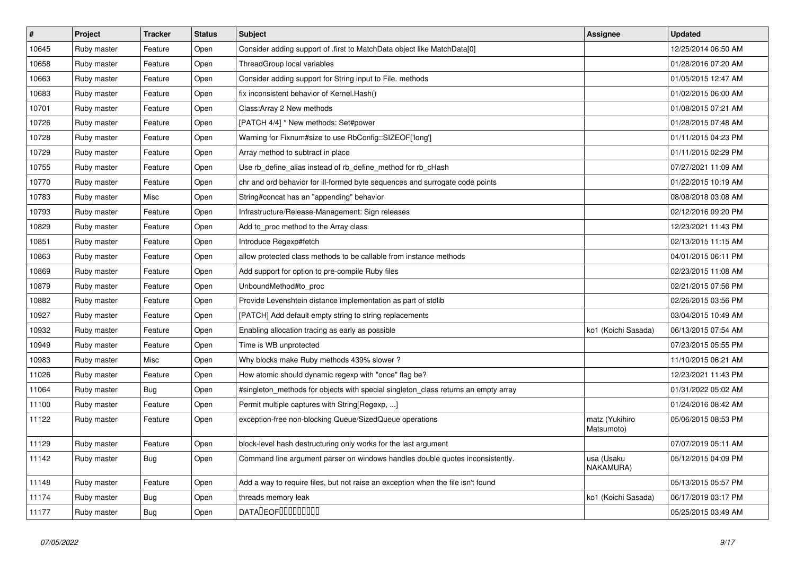| $\vert$ # | Project     | <b>Tracker</b> | <b>Status</b> | <b>Subject</b>                                                                     | <b>Assignee</b>              | <b>Updated</b>      |
|-----------|-------------|----------------|---------------|------------------------------------------------------------------------------------|------------------------------|---------------------|
| 10645     | Ruby master | Feature        | Open          | Consider adding support of .first to MatchData object like MatchData[0]            |                              | 12/25/2014 06:50 AM |
| 10658     | Ruby master | Feature        | Open          | ThreadGroup local variables                                                        |                              | 01/28/2016 07:20 AM |
| 10663     | Ruby master | Feature        | Open          | Consider adding support for String input to File. methods                          |                              | 01/05/2015 12:47 AM |
| 10683     | Ruby master | Feature        | Open          | fix inconsistent behavior of Kernel. Hash()                                        |                              | 01/02/2015 06:00 AM |
| 10701     | Ruby master | Feature        | Open          | Class: Array 2 New methods                                                         |                              | 01/08/2015 07:21 AM |
| 10726     | Ruby master | Feature        | Open          | [PATCH 4/4] * New methods: Set#power                                               |                              | 01/28/2015 07:48 AM |
| 10728     | Ruby master | Feature        | Open          | Warning for Fixnum#size to use RbConfig::SIZEOF['long']                            |                              | 01/11/2015 04:23 PM |
| 10729     | Ruby master | Feature        | Open          | Array method to subtract in place                                                  |                              | 01/11/2015 02:29 PM |
| 10755     | Ruby master | Feature        | Open          | Use rb_define_alias instead of rb_define_method for rb_cHash                       |                              | 07/27/2021 11:09 AM |
| 10770     | Ruby master | Feature        | Open          | chr and ord behavior for ill-formed byte sequences and surrogate code points       |                              | 01/22/2015 10:19 AM |
| 10783     | Ruby master | Misc           | Open          | String#concat has an "appending" behavior                                          |                              | 08/08/2018 03:08 AM |
| 10793     | Ruby master | Feature        | Open          | Infrastructure/Release-Management: Sign releases                                   |                              | 02/12/2016 09:20 PM |
| 10829     | Ruby master | Feature        | Open          | Add to_proc method to the Array class                                              |                              | 12/23/2021 11:43 PM |
| 10851     | Ruby master | Feature        | Open          | Introduce Regexp#fetch                                                             |                              | 02/13/2015 11:15 AM |
| 10863     | Ruby master | Feature        | Open          | allow protected class methods to be callable from instance methods                 |                              | 04/01/2015 06:11 PM |
| 10869     | Ruby master | Feature        | Open          | Add support for option to pre-compile Ruby files                                   |                              | 02/23/2015 11:08 AM |
| 10879     | Ruby master | Feature        | Open          | UnboundMethod#to_proc                                                              |                              | 02/21/2015 07:56 PM |
| 10882     | Ruby master | Feature        | Open          | Provide Levenshtein distance implementation as part of stdlib                      |                              | 02/26/2015 03:56 PM |
| 10927     | Ruby master | Feature        | Open          | [PATCH] Add default empty string to string replacements                            |                              | 03/04/2015 10:49 AM |
| 10932     | Ruby master | Feature        | Open          | Enabling allocation tracing as early as possible                                   | ko1 (Koichi Sasada)          | 06/13/2015 07:54 AM |
| 10949     | Ruby master | Feature        | Open          | Time is WB unprotected                                                             |                              | 07/23/2015 05:55 PM |
| 10983     | Ruby master | Misc           | Open          | Why blocks make Ruby methods 439% slower?                                          |                              | 11/10/2015 06:21 AM |
| 11026     | Ruby master | Feature        | Open          | How atomic should dynamic regexp with "once" flag be?                              |                              | 12/23/2021 11:43 PM |
| 11064     | Ruby master | <b>Bug</b>     | Open          | #singleton_methods for objects with special singleton_class returns an empty array |                              | 01/31/2022 05:02 AM |
| 11100     | Ruby master | Feature        | Open          | Permit multiple captures with String[Regexp, ]                                     |                              | 01/24/2016 08:42 AM |
| 11122     | Ruby master | Feature        | Open          | exception-free non-blocking Queue/SizedQueue operations                            | matz (Yukihiro<br>Matsumoto) | 05/06/2015 08:53 PM |
| 11129     | Ruby master | Feature        | Open          | block-level hash destructuring only works for the last argument                    |                              | 07/07/2019 05:11 AM |
| 11142     | Ruby master | <b>Bug</b>     | Open          | Command line argument parser on windows handles double quotes inconsistently.      | usa (Usaku<br>NAKAMURA)      | 05/12/2015 04:09 PM |
| 11148     | Ruby master | Feature        | Open          | Add a way to require files, but not raise an exception when the file isn't found   |                              | 05/13/2015 05:57 PM |
| 11174     | Ruby master | <b>Bug</b>     | Open          | threads memory leak                                                                | ko1 (Koichi Sasada)          | 06/17/2019 03:17 PM |
| 11177     | Ruby master | <b>Bug</b>     | Open          | <b>DATALEOFILILILILILI</b>                                                         |                              | 05/25/2015 03:49 AM |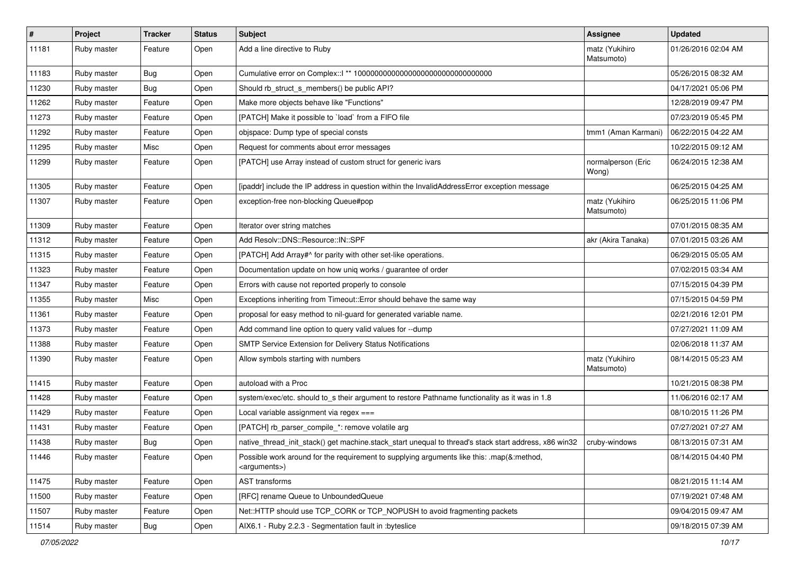| $\vert$ # | Project     | <b>Tracker</b> | <b>Status</b> | <b>Subject</b>                                                                                                        | <b>Assignee</b>              | <b>Updated</b>      |
|-----------|-------------|----------------|---------------|-----------------------------------------------------------------------------------------------------------------------|------------------------------|---------------------|
| 11181     | Ruby master | Feature        | Open          | Add a line directive to Ruby                                                                                          | matz (Yukihiro<br>Matsumoto) | 01/26/2016 02:04 AM |
| 11183     | Ruby master | Bug            | Open          |                                                                                                                       |                              | 05/26/2015 08:32 AM |
| 11230     | Ruby master | <b>Bug</b>     | Open          | Should rb_struct_s_members() be public API?                                                                           |                              | 04/17/2021 05:06 PM |
| 11262     | Ruby master | Feature        | Open          | Make more objects behave like "Functions"                                                                             |                              | 12/28/2019 09:47 PM |
| 11273     | Ruby master | Feature        | Open          | [PATCH] Make it possible to `load` from a FIFO file                                                                   |                              | 07/23/2019 05:45 PM |
| 11292     | Ruby master | Feature        | Open          | objspace: Dump type of special consts                                                                                 | tmm1 (Aman Karmani)          | 06/22/2015 04:22 AM |
| 11295     | Ruby master | Misc           | Open          | Request for comments about error messages                                                                             |                              | 10/22/2015 09:12 AM |
| 11299     | Ruby master | Feature        | Open          | [PATCH] use Array instead of custom struct for generic ivars                                                          | normalperson (Eric<br>Wong)  | 06/24/2015 12:38 AM |
| 11305     | Ruby master | Feature        | Open          | [ipaddr] include the IP address in question within the InvalidAddressError exception message                          |                              | 06/25/2015 04:25 AM |
| 11307     | Ruby master | Feature        | Open          | exception-free non-blocking Queue#pop                                                                                 | matz (Yukihiro<br>Matsumoto) | 06/25/2015 11:06 PM |
| 11309     | Ruby master | Feature        | Open          | Iterator over string matches                                                                                          |                              | 07/01/2015 08:35 AM |
| 11312     | Ruby master | Feature        | Open          | Add Resolv::DNS::Resource::IN::SPF                                                                                    | akr (Akira Tanaka)           | 07/01/2015 03:26 AM |
| 11315     | Ruby master | Feature        | Open          | [PATCH] Add Array#^ for parity with other set-like operations.                                                        |                              | 06/29/2015 05:05 AM |
| 11323     | Ruby master | Feature        | Open          | Documentation update on how uniq works / guarantee of order                                                           |                              | 07/02/2015 03:34 AM |
| 11347     | Ruby master | Feature        | Open          | Errors with cause not reported properly to console                                                                    |                              | 07/15/2015 04:39 PM |
| 11355     | Ruby master | Misc           | Open          | Exceptions inheriting from Timeout:: Error should behave the same way                                                 |                              | 07/15/2015 04:59 PM |
| 11361     | Ruby master | Feature        | Open          | proposal for easy method to nil-guard for generated variable name.                                                    |                              | 02/21/2016 12:01 PM |
| 11373     | Ruby master | Feature        | Open          | Add command line option to query valid values for --dump                                                              |                              | 07/27/2021 11:09 AM |
| 11388     | Ruby master | Feature        | Open          | SMTP Service Extension for Delivery Status Notifications                                                              |                              | 02/06/2018 11:37 AM |
| 11390     | Ruby master | Feature        | Open          | Allow symbols starting with numbers                                                                                   | matz (Yukihiro<br>Matsumoto) | 08/14/2015 05:23 AM |
| 11415     | Ruby master | Feature        | Open          | autoload with a Proc                                                                                                  |                              | 10/21/2015 08:38 PM |
| 11428     | Ruby master | Feature        | Open          | system/exec/etc. should to_s their argument to restore Pathname functionality as it was in 1.8                        |                              | 11/06/2016 02:17 AM |
| 11429     | Ruby master | Feature        | Open          | Local variable assignment via regex ===                                                                               |                              | 08/10/2015 11:26 PM |
| 11431     | Ruby master | Feature        | Open          | [PATCH] rb_parser_compile_*: remove volatile arg                                                                      |                              | 07/27/2021 07:27 AM |
| 11438     | Ruby master | <b>Bug</b>     | Open          | native_thread_init_stack() get machine.stack_start unequal to thread's stack start address, x86 win32                 | cruby-windows                | 08/13/2015 07:31 AM |
| 11446     | Ruby master | Feature        | Open          | Possible work around for the requirement to supplying arguments like this: .map(&:method,<br><arguments>)</arguments> |                              | 08/14/2015 04:40 PM |
| 11475     | Ruby master | Feature        | Open          | AST transforms                                                                                                        |                              | 08/21/2015 11:14 AM |
| 11500     | Ruby master | Feature        | Open          | [RFC] rename Queue to UnboundedQueue                                                                                  |                              | 07/19/2021 07:48 AM |
| 11507     | Ruby master | Feature        | Open          | Net::HTTP should use TCP_CORK or TCP_NOPUSH to avoid fragmenting packets                                              |                              | 09/04/2015 09:47 AM |
| 11514     | Ruby master | Bug            | Open          | AIX6.1 - Ruby 2.2.3 - Segmentation fault in :byteslice                                                                |                              | 09/18/2015 07:39 AM |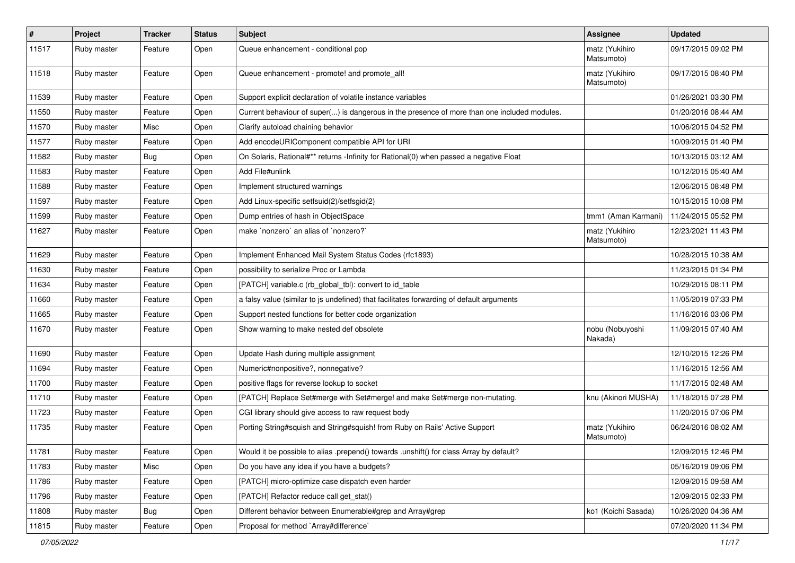| $\vert$ # | Project     | <b>Tracker</b> | <b>Status</b> | <b>Subject</b>                                                                               | <b>Assignee</b>              | <b>Updated</b>      |
|-----------|-------------|----------------|---------------|----------------------------------------------------------------------------------------------|------------------------------|---------------------|
| 11517     | Ruby master | Feature        | Open          | Queue enhancement - conditional pop                                                          | matz (Yukihiro<br>Matsumoto) | 09/17/2015 09:02 PM |
| 11518     | Ruby master | Feature        | Open          | Queue enhancement - promote! and promote all!                                                | matz (Yukihiro<br>Matsumoto) | 09/17/2015 08:40 PM |
| 11539     | Ruby master | Feature        | Open          | Support explicit declaration of volatile instance variables                                  |                              | 01/26/2021 03:30 PM |
| 11550     | Ruby master | Feature        | Open          | Current behaviour of super() is dangerous in the presence of more than one included modules. |                              | 01/20/2016 08:44 AM |
| 11570     | Ruby master | Misc           | Open          | Clarify autoload chaining behavior                                                           |                              | 10/06/2015 04:52 PM |
| 11577     | Ruby master | Feature        | Open          | Add encodeURIComponent compatible API for URI                                                |                              | 10/09/2015 01:40 PM |
| 11582     | Ruby master | <b>Bug</b>     | Open          | On Solaris, Rational#** returns -Infinity for Rational(0) when passed a negative Float       |                              | 10/13/2015 03:12 AM |
| 11583     | Ruby master | Feature        | Open          | Add File#unlink                                                                              |                              | 10/12/2015 05:40 AM |
| 11588     | Ruby master | Feature        | Open          | Implement structured warnings                                                                |                              | 12/06/2015 08:48 PM |
| 11597     | Ruby master | Feature        | Open          | Add Linux-specific setfsuid(2)/setfsgid(2)                                                   |                              | 10/15/2015 10:08 PM |
| 11599     | Ruby master | Feature        | Open          | Dump entries of hash in ObjectSpace                                                          | tmm1 (Aman Karmani)          | 11/24/2015 05:52 PM |
| 11627     | Ruby master | Feature        | Open          | make `nonzero` an alias of `nonzero?`                                                        | matz (Yukihiro<br>Matsumoto) | 12/23/2021 11:43 PM |
| 11629     | Ruby master | Feature        | Open          | Implement Enhanced Mail System Status Codes (rfc1893)                                        |                              | 10/28/2015 10:38 AM |
| 11630     | Ruby master | Feature        | Open          | possibility to serialize Proc or Lambda                                                      |                              | 11/23/2015 01:34 PM |
| 11634     | Ruby master | Feature        | Open          | [PATCH] variable.c (rb_global_tbl): convert to id_table                                      |                              | 10/29/2015 08:11 PM |
| 11660     | Ruby master | Feature        | Open          | a falsy value (similar to js undefined) that facilitates forwarding of default arguments     |                              | 11/05/2019 07:33 PM |
| 11665     | Ruby master | Feature        | Open          | Support nested functions for better code organization                                        |                              | 11/16/2016 03:06 PM |
| 11670     | Ruby master | Feature        | Open          | Show warning to make nested def obsolete                                                     | nobu (Nobuyoshi<br>Nakada)   | 11/09/2015 07:40 AM |
| 11690     | Ruby master | Feature        | Open          | Update Hash during multiple assignment                                                       |                              | 12/10/2015 12:26 PM |
| 11694     | Ruby master | Feature        | Open          | Numeric#nonpositive?, nonnegative?                                                           |                              | 11/16/2015 12:56 AM |
| 11700     | Ruby master | Feature        | Open          | positive flags for reverse lookup to socket                                                  |                              | 11/17/2015 02:48 AM |
| 11710     | Ruby master | Feature        | Open          | [PATCH] Replace Set#merge with Set#merge! and make Set#merge non-mutating.                   | knu (Akinori MUSHA)          | 11/18/2015 07:28 PM |
| 11723     | Ruby master | Feature        | Open          | CGI library should give access to raw request body                                           |                              | 11/20/2015 07:06 PM |
| 11735     | Ruby master | Feature        | Open          | Porting String#squish and String#squish! from Ruby on Rails' Active Support                  | matz (Yukihiro<br>Matsumoto) | 06/24/2016 08:02 AM |
| 11781     | Ruby master | Feature        | Open          | Would it be possible to alias .prepend() towards .unshift() for class Array by default?      |                              | 12/09/2015 12:46 PM |
| 11783     | Ruby master | Misc           | Open          | Do you have any idea if you have a budgets?                                                  |                              | 05/16/2019 09:06 PM |
| 11786     | Ruby master | Feature        | Open          | [PATCH] micro-optimize case dispatch even harder                                             |                              | 12/09/2015 09:58 AM |
| 11796     | Ruby master | Feature        | Open          | [PATCH] Refactor reduce call get_stat()                                                      |                              | 12/09/2015 02:33 PM |
| 11808     | Ruby master | Bug            | Open          | Different behavior between Enumerable#grep and Array#grep                                    | ko1 (Koichi Sasada)          | 10/26/2020 04:36 AM |
| 11815     | Ruby master | Feature        | Open          | Proposal for method `Array#difference`                                                       |                              | 07/20/2020 11:34 PM |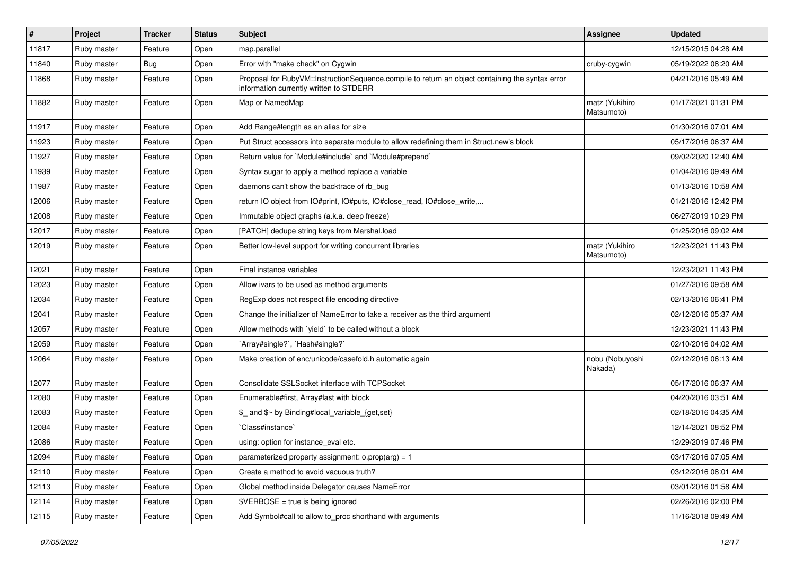| $\sharp$ | Project     | <b>Tracker</b> | <b>Status</b> | <b>Subject</b>                                                                                                                              | <b>Assignee</b>              | <b>Updated</b>      |
|----------|-------------|----------------|---------------|---------------------------------------------------------------------------------------------------------------------------------------------|------------------------------|---------------------|
| 11817    | Ruby master | Feature        | Open          | map.parallel                                                                                                                                |                              | 12/15/2015 04:28 AM |
| 11840    | Ruby master | Bug            | Open          | Error with "make check" on Cygwin                                                                                                           | cruby-cygwin                 | 05/19/2022 08:20 AM |
| 11868    | Ruby master | Feature        | Open          | Proposal for RubyVM::InstructionSequence.compile to return an object containing the syntax error<br>information currently written to STDERR |                              | 04/21/2016 05:49 AM |
| 11882    | Ruby master | Feature        | Open          | Map or NamedMap                                                                                                                             | matz (Yukihiro<br>Matsumoto) | 01/17/2021 01:31 PM |
| 11917    | Ruby master | Feature        | Open          | Add Range#length as an alias for size                                                                                                       |                              | 01/30/2016 07:01 AM |
| 11923    | Ruby master | Feature        | Open          | Put Struct accessors into separate module to allow redefining them in Struct.new's block                                                    |                              | 05/17/2016 06:37 AM |
| 11927    | Ruby master | Feature        | Open          | Return value for `Module#include` and `Module#prepend`                                                                                      |                              | 09/02/2020 12:40 AM |
| 11939    | Ruby master | Feature        | Open          | Syntax sugar to apply a method replace a variable                                                                                           |                              | 01/04/2016 09:49 AM |
| 11987    | Ruby master | Feature        | Open          | daemons can't show the backtrace of rb_bug                                                                                                  |                              | 01/13/2016 10:58 AM |
| 12006    | Ruby master | Feature        | Open          | return IO object from IO#print, IO#puts, IO#close_read, IO#close_write,                                                                     |                              | 01/21/2016 12:42 PM |
| 12008    | Ruby master | Feature        | Open          | Immutable object graphs (a.k.a. deep freeze)                                                                                                |                              | 06/27/2019 10:29 PM |
| 12017    | Ruby master | Feature        | Open          | [PATCH] dedupe string keys from Marshal.load                                                                                                |                              | 01/25/2016 09:02 AM |
| 12019    | Ruby master | Feature        | Open          | Better low-level support for writing concurrent libraries                                                                                   | matz (Yukihiro<br>Matsumoto) | 12/23/2021 11:43 PM |
| 12021    | Ruby master | Feature        | Open          | Final instance variables                                                                                                                    |                              | 12/23/2021 11:43 PM |
| 12023    | Ruby master | Feature        | Open          | Allow ivars to be used as method arguments                                                                                                  |                              | 01/27/2016 09:58 AM |
| 12034    | Ruby master | Feature        | Open          | RegExp does not respect file encoding directive                                                                                             |                              | 02/13/2016 06:41 PM |
| 12041    | Ruby master | Feature        | Open          | Change the initializer of NameError to take a receiver as the third argument                                                                |                              | 02/12/2016 05:37 AM |
| 12057    | Ruby master | Feature        | Open          | Allow methods with 'yield' to be called without a block                                                                                     |                              | 12/23/2021 11:43 PM |
| 12059    | Ruby master | Feature        | Open          | 'Array#single?', 'Hash#single?'                                                                                                             |                              | 02/10/2016 04:02 AM |
| 12064    | Ruby master | Feature        | Open          | Make creation of enc/unicode/casefold.h automatic again                                                                                     | nobu (Nobuyoshi<br>Nakada)   | 02/12/2016 06:13 AM |
| 12077    | Ruby master | Feature        | Open          | Consolidate SSLSocket interface with TCPSocket                                                                                              |                              | 05/17/2016 06:37 AM |
| 12080    | Ruby master | Feature        | Open          | Enumerable#first, Array#last with block                                                                                                     |                              | 04/20/2016 03:51 AM |
| 12083    | Ruby master | Feature        | Open          | \$_ and \$~ by Binding#local_variable_{get,set}                                                                                             |                              | 02/18/2016 04:35 AM |
| 12084    | Ruby master | Feature        | Open          | Class#instance`                                                                                                                             |                              | 12/14/2021 08:52 PM |
| 12086    | Ruby master | Feature        | Open          | using: option for instance_eval etc.                                                                                                        |                              | 12/29/2019 07:46 PM |
| 12094    | Ruby master | Feature        | Open          | parameterized property assignment: $o.prop(arg) = 1$                                                                                        |                              | 03/17/2016 07:05 AM |
| 12110    | Ruby master | Feature        | Open          | Create a method to avoid vacuous truth?                                                                                                     |                              | 03/12/2016 08:01 AM |
| 12113    | Ruby master | Feature        | Open          | Global method inside Delegator causes NameError                                                                                             |                              | 03/01/2016 01:58 AM |
| 12114    | Ruby master | Feature        | Open          | \$VERBOSE = true is being ignored                                                                                                           |                              | 02/26/2016 02:00 PM |
| 12115    | Ruby master | Feature        | Open          | Add Symbol#call to allow to_proc shorthand with arguments                                                                                   |                              | 11/16/2018 09:49 AM |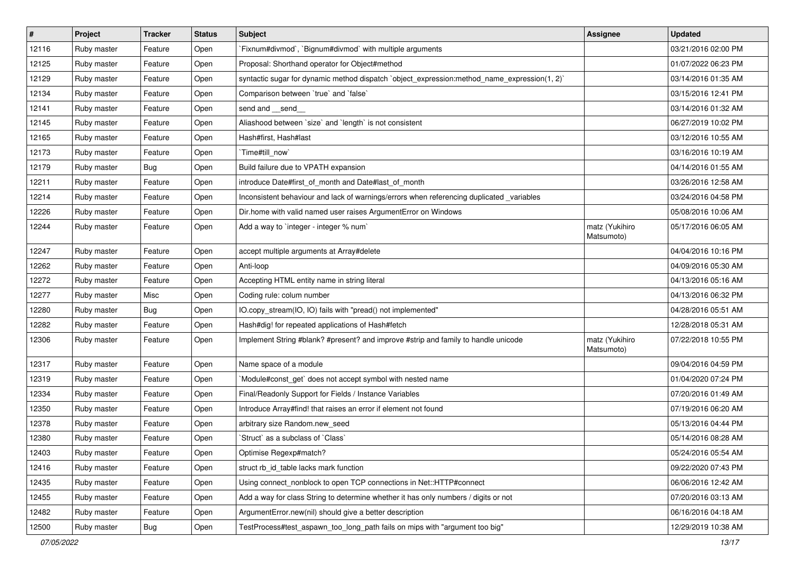| $\vert$ # | Project     | <b>Tracker</b> | <b>Status</b> | Subject                                                                                      | <b>Assignee</b>              | Updated             |
|-----------|-------------|----------------|---------------|----------------------------------------------------------------------------------------------|------------------------------|---------------------|
| 12116     | Ruby master | Feature        | Open          | `Fixnum#divmod`, `Bignum#divmod` with multiple arguments                                     |                              | 03/21/2016 02:00 PM |
| 12125     | Ruby master | Feature        | Open          | Proposal: Shorthand operator for Object#method                                               |                              | 01/07/2022 06:23 PM |
| 12129     | Ruby master | Feature        | Open          | syntactic sugar for dynamic method dispatch `object_expression:method_name_expression(1, 2)` |                              | 03/14/2016 01:35 AM |
| 12134     | Ruby master | Feature        | Open          | Comparison between 'true' and 'false'                                                        |                              | 03/15/2016 12:41 PM |
| 12141     | Ruby master | Feature        | Open          | send and __send_                                                                             |                              | 03/14/2016 01:32 AM |
| 12145     | Ruby master | Feature        | Open          | Aliashood between `size` and `length` is not consistent                                      |                              | 06/27/2019 10:02 PM |
| 12165     | Ruby master | Feature        | Open          | Hash#first. Hash#last                                                                        |                              | 03/12/2016 10:55 AM |
| 12173     | Ruby master | Feature        | Open          | `Time#till_now`                                                                              |                              | 03/16/2016 10:19 AM |
| 12179     | Ruby master | Bug            | Open          | Build failure due to VPATH expansion                                                         |                              | 04/14/2016 01:55 AM |
| 12211     | Ruby master | Feature        | Open          | introduce Date#first_of_month and Date#last_of_month                                         |                              | 03/26/2016 12:58 AM |
| 12214     | Ruby master | Feature        | Open          | Inconsistent behaviour and lack of warnings/errors when referencing duplicated _variables    |                              | 03/24/2016 04:58 PM |
| 12226     | Ruby master | Feature        | Open          | Dir.home with valid named user raises ArgumentError on Windows                               |                              | 05/08/2016 10:06 AM |
| 12244     | Ruby master | Feature        | Open          | Add a way to 'integer - integer % num'                                                       | matz (Yukihiro<br>Matsumoto) | 05/17/2016 06:05 AM |
| 12247     | Ruby master | Feature        | Open          | accept multiple arguments at Array#delete                                                    |                              | 04/04/2016 10:16 PM |
| 12262     | Ruby master | Feature        | Open          | Anti-loop                                                                                    |                              | 04/09/2016 05:30 AM |
| 12272     | Ruby master | Feature        | Open          | Accepting HTML entity name in string literal                                                 |                              | 04/13/2016 05:16 AM |
| 12277     | Ruby master | Misc           | Open          | Coding rule: colum number                                                                    |                              | 04/13/2016 06:32 PM |
| 12280     | Ruby master | <b>Bug</b>     | Open          | IO.copy_stream(IO, IO) fails with "pread() not implemented"                                  |                              | 04/28/2016 05:51 AM |
| 12282     | Ruby master | Feature        | Open          | Hash#dig! for repeated applications of Hash#fetch                                            |                              | 12/28/2018 05:31 AM |
| 12306     | Ruby master | Feature        | Open          | Implement String #blank? #present? and improve #strip and family to handle unicode           | matz (Yukihiro<br>Matsumoto) | 07/22/2018 10:55 PM |
| 12317     | Ruby master | Feature        | Open          | Name space of a module                                                                       |                              | 09/04/2016 04:59 PM |
| 12319     | Ruby master | Feature        | Open          | Module#const_get` does not accept symbol with nested name                                    |                              | 01/04/2020 07:24 PM |
| 12334     | Ruby master | Feature        | Open          | Final/Readonly Support for Fields / Instance Variables                                       |                              | 07/20/2016 01:49 AM |
| 12350     | Ruby master | Feature        | Open          | Introduce Array#find! that raises an error if element not found                              |                              | 07/19/2016 06:20 AM |
| 12378     | Ruby master | Feature        | Open          | arbitrary size Random.new_seed                                                               |                              | 05/13/2016 04:44 PM |
| 12380     | Ruby master | Feature        | Open          | 'Struct' as a subclass of 'Class'                                                            |                              | 05/14/2016 08:28 AM |
| 12403     | Ruby master | Feature        | Open          | Optimise Regexp#match?                                                                       |                              | 05/24/2016 05:54 AM |
| 12416     | Ruby master | Feature        | Open          | struct rb_id_table lacks mark function                                                       |                              | 09/22/2020 07:43 PM |
| 12435     | Ruby master | Feature        | Open          | Using connect_nonblock to open TCP connections in Net::HTTP#connect                          |                              | 06/06/2016 12:42 AM |
| 12455     | Ruby master | Feature        | Open          | Add a way for class String to determine whether it has only numbers / digits or not          |                              | 07/20/2016 03:13 AM |
| 12482     | Ruby master | Feature        | Open          | ArgumentError.new(nil) should give a better description                                      |                              | 06/16/2016 04:18 AM |
| 12500     | Ruby master | <b>Bug</b>     | Open          | TestProcess#test_aspawn_too_long_path fails on mips with "argument too big"                  |                              | 12/29/2019 10:38 AM |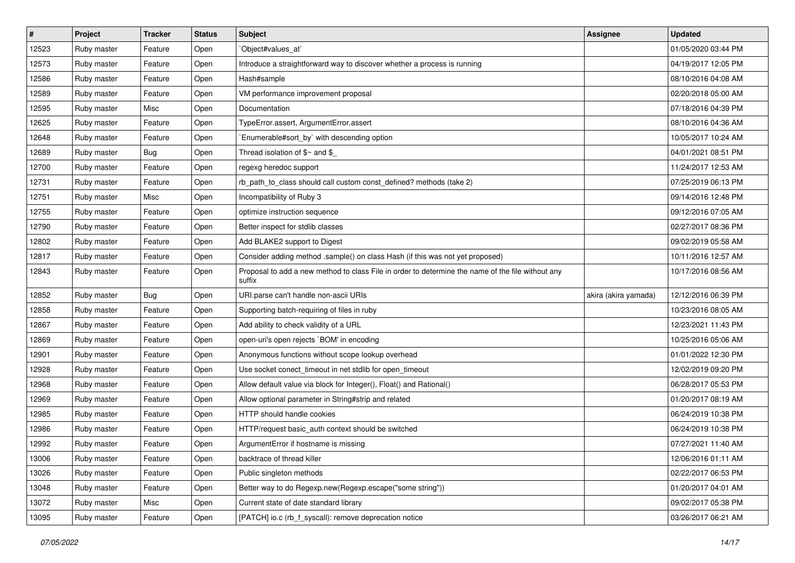| #     | Project     | <b>Tracker</b> | <b>Status</b> | Subject                                                                                                     | <b>Assignee</b>      | <b>Updated</b>      |
|-------|-------------|----------------|---------------|-------------------------------------------------------------------------------------------------------------|----------------------|---------------------|
| 12523 | Ruby master | Feature        | Open          | Object#values_at                                                                                            |                      | 01/05/2020 03:44 PM |
| 12573 | Ruby master | Feature        | Open          | Introduce a straightforward way to discover whether a process is running                                    |                      | 04/19/2017 12:05 PM |
| 12586 | Ruby master | Feature        | Open          | Hash#sample                                                                                                 |                      | 08/10/2016 04:08 AM |
| 12589 | Ruby master | Feature        | Open          | VM performance improvement proposal                                                                         |                      | 02/20/2018 05:00 AM |
| 12595 | Ruby master | Misc           | Open          | Documentation                                                                                               |                      | 07/18/2016 04:39 PM |
| 12625 | Ruby master | Feature        | Open          | TypeError.assert, ArgumentError.assert                                                                      |                      | 08/10/2016 04:36 AM |
| 12648 | Ruby master | Feature        | Open          | Enumerable#sort_by` with descending option                                                                  |                      | 10/05/2017 10:24 AM |
| 12689 | Ruby master | <b>Bug</b>     | Open          | Thread isolation of $$~$ and \$                                                                             |                      | 04/01/2021 08:51 PM |
| 12700 | Ruby master | Feature        | Open          | regexg heredoc support                                                                                      |                      | 11/24/2017 12:53 AM |
| 12731 | Ruby master | Feature        | Open          | rb_path_to_class should call custom const_defined? methods (take 2)                                         |                      | 07/25/2019 06:13 PM |
| 12751 | Ruby master | Misc           | Open          | Incompatibility of Ruby 3                                                                                   |                      | 09/14/2016 12:48 PM |
| 12755 | Ruby master | Feature        | Open          | optimize instruction sequence                                                                               |                      | 09/12/2016 07:05 AM |
| 12790 | Ruby master | Feature        | Open          | Better inspect for stdlib classes                                                                           |                      | 02/27/2017 08:36 PM |
| 12802 | Ruby master | Feature        | Open          | Add BLAKE2 support to Digest                                                                                |                      | 09/02/2019 05:58 AM |
| 12817 | Ruby master | Feature        | Open          | Consider adding method .sample() on class Hash (if this was not yet proposed)                               |                      | 10/11/2016 12:57 AM |
| 12843 | Ruby master | Feature        | Open          | Proposal to add a new method to class File in order to determine the name of the file without any<br>suffix |                      | 10/17/2016 08:56 AM |
| 12852 | Ruby master | <b>Bug</b>     | Open          | URI.parse can't handle non-ascii URIs                                                                       | akira (akira yamada) | 12/12/2016 06:39 PM |
| 12858 | Ruby master | Feature        | Open          | Supporting batch-requiring of files in ruby                                                                 |                      | 10/23/2016 08:05 AM |
| 12867 | Ruby master | Feature        | Open          | Add ability to check validity of a URL                                                                      |                      | 12/23/2021 11:43 PM |
| 12869 | Ruby master | Feature        | Open          | open-uri's open rejects `BOM' in encoding                                                                   |                      | 10/25/2016 05:06 AM |
| 12901 | Ruby master | Feature        | Open          | Anonymous functions without scope lookup overhead                                                           |                      | 01/01/2022 12:30 PM |
| 12928 | Ruby master | Feature        | Open          | Use socket conect_timeout in net stdlib for open_timeout                                                    |                      | 12/02/2019 09:20 PM |
| 12968 | Ruby master | Feature        | Open          | Allow default value via block for Integer(), Float() and Rational()                                         |                      | 06/28/2017 05:53 PM |
| 12969 | Ruby master | Feature        | Open          | Allow optional parameter in String#strip and related                                                        |                      | 01/20/2017 08:19 AM |
| 12985 | Ruby master | Feature        | Open          | HTTP should handle cookies                                                                                  |                      | 06/24/2019 10:38 PM |
| 12986 | Ruby master | Feature        | Open          | HTTP/request basic_auth context should be switched                                                          |                      | 06/24/2019 10:38 PM |
| 12992 | Ruby master | Feature        | Open          | ArgumentError if hostname is missing                                                                        |                      | 07/27/2021 11:40 AM |
| 13006 | Ruby master | Feature        | Open          | backtrace of thread killer                                                                                  |                      | 12/06/2016 01:11 AM |
| 13026 | Ruby master | Feature        | Open          | Public singleton methods                                                                                    |                      | 02/22/2017 06:53 PM |
| 13048 | Ruby master | Feature        | Open          | Better way to do Regexp.new(Regexp.escape("some string"))                                                   |                      | 01/20/2017 04:01 AM |
| 13072 | Ruby master | Misc           | Open          | Current state of date standard library                                                                      |                      | 09/02/2017 05:38 PM |
| 13095 | Ruby master | Feature        | Open          | [PATCH] io.c (rb_f_syscall): remove deprecation notice                                                      |                      | 03/26/2017 06:21 AM |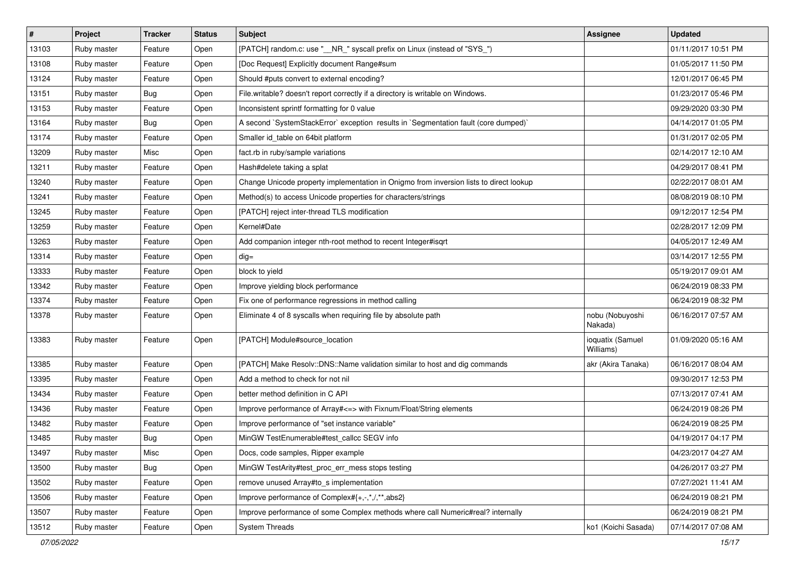| #     | Project     | <b>Tracker</b> | <b>Status</b> | Subject                                                                                | <b>Assignee</b>               | <b>Updated</b>      |
|-------|-------------|----------------|---------------|----------------------------------------------------------------------------------------|-------------------------------|---------------------|
| 13103 | Ruby master | Feature        | Open          | [PATCH] random.c: use "__NR_" syscall prefix on Linux (instead of "SYS_")              |                               | 01/11/2017 10:51 PM |
| 13108 | Ruby master | Feature        | Open          | [Doc Request] Explicitly document Range#sum                                            |                               | 01/05/2017 11:50 PM |
| 13124 | Ruby master | Feature        | Open          | Should #puts convert to external encoding?                                             |                               | 12/01/2017 06:45 PM |
| 13151 | Ruby master | Bug            | Open          | File.writable? doesn't report correctly if a directory is writable on Windows.         |                               | 01/23/2017 05:46 PM |
| 13153 | Ruby master | Feature        | Open          | Inconsistent sprintf formatting for 0 value                                            |                               | 09/29/2020 03:30 PM |
| 13164 | Ruby master | <b>Bug</b>     | Open          | A second `SystemStackError` exception results in `Segmentation fault (core dumped)`    |                               | 04/14/2017 01:05 PM |
| 13174 | Ruby master | Feature        | Open          | Smaller id table on 64bit platform                                                     |                               | 01/31/2017 02:05 PM |
| 13209 | Ruby master | Misc           | Open          | fact.rb in ruby/sample variations                                                      |                               | 02/14/2017 12:10 AM |
| 13211 | Ruby master | Feature        | Open          | Hash#delete taking a splat                                                             |                               | 04/29/2017 08:41 PM |
| 13240 | Ruby master | Feature        | Open          | Change Unicode property implementation in Onigmo from inversion lists to direct lookup |                               | 02/22/2017 08:01 AM |
| 13241 | Ruby master | Feature        | Open          | Method(s) to access Unicode properties for characters/strings                          |                               | 08/08/2019 08:10 PM |
| 13245 | Ruby master | Feature        | Open          | [PATCH] reject inter-thread TLS modification                                           |                               | 09/12/2017 12:54 PM |
| 13259 | Ruby master | Feature        | Open          | Kernel#Date                                                                            |                               | 02/28/2017 12:09 PM |
| 13263 | Ruby master | Feature        | Open          | Add companion integer nth-root method to recent Integer#isqrt                          |                               | 04/05/2017 12:49 AM |
| 13314 | Ruby master | Feature        | Open          | $dig =$                                                                                |                               | 03/14/2017 12:55 PM |
| 13333 | Ruby master | Feature        | Open          | block to yield                                                                         |                               | 05/19/2017 09:01 AM |
| 13342 | Ruby master | Feature        | Open          | Improve yielding block performance                                                     |                               | 06/24/2019 08:33 PM |
| 13374 | Ruby master | Feature        | Open          | Fix one of performance regressions in method calling                                   |                               | 06/24/2019 08:32 PM |
| 13378 | Ruby master | Feature        | Open          | Eliminate 4 of 8 syscalls when requiring file by absolute path                         | nobu (Nobuyoshi<br>Nakada)    | 06/16/2017 07:57 AM |
| 13383 | Ruby master | Feature        | Open          | [PATCH] Module#source_location                                                         | ioquatix (Samuel<br>Williams) | 01/09/2020 05:16 AM |
| 13385 | Ruby master | Feature        | Open          | [PATCH] Make Resolv::DNS::Name validation similar to host and dig commands             | akr (Akira Tanaka)            | 06/16/2017 08:04 AM |
| 13395 | Ruby master | Feature        | Open          | Add a method to check for not nil                                                      |                               | 09/30/2017 12:53 PM |
| 13434 | Ruby master | Feature        | Open          | better method definition in C API                                                      |                               | 07/13/2017 07:41 AM |
| 13436 | Ruby master | Feature        | Open          | Improve performance of Array# <= > with Fixnum/Float/String elements                   |                               | 06/24/2019 08:26 PM |
| 13482 | Ruby master | Feature        | Open          | Improve performance of "set instance variable"                                         |                               | 06/24/2019 08:25 PM |
| 13485 | Ruby master | <b>Bug</b>     | Open          | MinGW TestEnumerable#test callcc SEGV info                                             |                               | 04/19/2017 04:17 PM |
| 13497 | Ruby master | Misc           | Open          | Docs, code samples, Ripper example                                                     |                               | 04/23/2017 04:27 AM |
| 13500 | Ruby master | Bug            | Open          | MinGW TestArity#test_proc_err_mess stops testing                                       |                               | 04/26/2017 03:27 PM |
| 13502 | Ruby master | Feature        | Open          | remove unused Array#to_s implementation                                                |                               | 07/27/2021 11:41 AM |
| 13506 | Ruby master | Feature        | Open          | Improve performance of Complex#{+,-,*,/,**,abs2}                                       |                               | 06/24/2019 08:21 PM |
| 13507 | Ruby master | Feature        | Open          | Improve performance of some Complex methods where call Numeric#real? internally        |                               | 06/24/2019 08:21 PM |
| 13512 | Ruby master | Feature        | Open          | <b>System Threads</b>                                                                  | ko1 (Koichi Sasada)           | 07/14/2017 07:08 AM |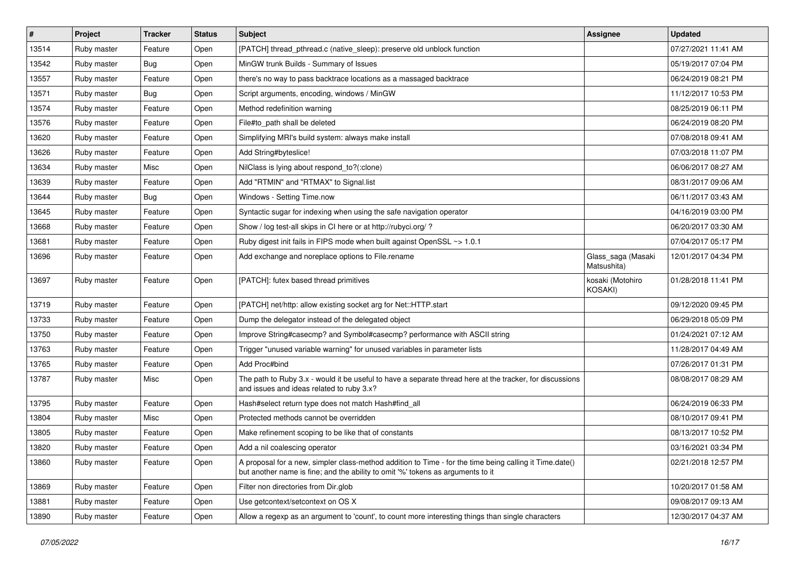| #     | Project     | <b>Tracker</b> | <b>Status</b> | Subject                                                                                                                                                                                    | <b>Assignee</b>                   | <b>Updated</b>      |
|-------|-------------|----------------|---------------|--------------------------------------------------------------------------------------------------------------------------------------------------------------------------------------------|-----------------------------------|---------------------|
| 13514 | Ruby master | Feature        | Open          | [PATCH] thread_pthread.c (native_sleep): preserve old unblock function                                                                                                                     |                                   | 07/27/2021 11:41 AM |
| 13542 | Ruby master | Bug            | Open          | MinGW trunk Builds - Summary of Issues                                                                                                                                                     |                                   | 05/19/2017 07:04 PM |
| 13557 | Ruby master | Feature        | Open          | there's no way to pass backtrace locations as a massaged backtrace                                                                                                                         |                                   | 06/24/2019 08:21 PM |
| 13571 | Ruby master | Bug            | Open          | Script arguments, encoding, windows / MinGW                                                                                                                                                |                                   | 11/12/2017 10:53 PM |
| 13574 | Ruby master | Feature        | Open          | Method redefinition warning                                                                                                                                                                |                                   | 08/25/2019 06:11 PM |
| 13576 | Ruby master | Feature        | Open          | File#to_path shall be deleted                                                                                                                                                              |                                   | 06/24/2019 08:20 PM |
| 13620 | Ruby master | Feature        | Open          | Simplifying MRI's build system: always make install                                                                                                                                        |                                   | 07/08/2018 09:41 AM |
| 13626 | Ruby master | Feature        | Open          | Add String#byteslice!                                                                                                                                                                      |                                   | 07/03/2018 11:07 PM |
| 13634 | Ruby master | Misc           | Open          | NilClass is lying about respond_to?(:clone)                                                                                                                                                |                                   | 06/06/2017 08:27 AM |
| 13639 | Ruby master | Feature        | Open          | Add "RTMIN" and "RTMAX" to Signal.list                                                                                                                                                     |                                   | 08/31/2017 09:06 AM |
| 13644 | Ruby master | Bug            | Open          | Windows - Setting Time.now                                                                                                                                                                 |                                   | 06/11/2017 03:43 AM |
| 13645 | Ruby master | Feature        | Open          | Syntactic sugar for indexing when using the safe navigation operator                                                                                                                       |                                   | 04/16/2019 03:00 PM |
| 13668 | Ruby master | Feature        | Open          | Show / log test-all skips in CI here or at http://rubyci.org/?                                                                                                                             |                                   | 06/20/2017 03:30 AM |
| 13681 | Ruby master | Feature        | Open          | Ruby digest init fails in FIPS mode when built against OpenSSL ~> 1.0.1                                                                                                                    |                                   | 07/04/2017 05:17 PM |
| 13696 | Ruby master | Feature        | Open          | Add exchange and noreplace options to File.rename                                                                                                                                          | Glass_saga (Masaki<br>Matsushita) | 12/01/2017 04:34 PM |
| 13697 | Ruby master | Feature        | Open          | [PATCH]: futex based thread primitives                                                                                                                                                     | kosaki (Motohiro<br>KOSAKI)       | 01/28/2018 11:41 PM |
| 13719 | Ruby master | Feature        | Open          | [PATCH] net/http: allow existing socket arg for Net::HTTP.start                                                                                                                            |                                   | 09/12/2020 09:45 PM |
| 13733 | Ruby master | Feature        | Open          | Dump the delegator instead of the delegated object                                                                                                                                         |                                   | 06/29/2018 05:09 PM |
| 13750 | Ruby master | Feature        | Open          | Improve String#casecmp? and Symbol#casecmp? performance with ASCII string                                                                                                                  |                                   | 01/24/2021 07:12 AM |
| 13763 | Ruby master | Feature        | Open          | Trigger "unused variable warning" for unused variables in parameter lists                                                                                                                  |                                   | 11/28/2017 04:49 AM |
| 13765 | Ruby master | Feature        | Open          | Add Proc#bind                                                                                                                                                                              |                                   | 07/26/2017 01:31 PM |
| 13787 | Ruby master | Misc           | Open          | The path to Ruby 3.x - would it be useful to have a separate thread here at the tracker, for discussions<br>and issues and ideas related to ruby 3.x?                                      |                                   | 08/08/2017 08:29 AM |
| 13795 | Ruby master | Feature        | Open          | Hash#select return type does not match Hash#find_all                                                                                                                                       |                                   | 06/24/2019 06:33 PM |
| 13804 | Ruby master | Misc           | Open          | Protected methods cannot be overridden                                                                                                                                                     |                                   | 08/10/2017 09:41 PM |
| 13805 | Ruby master | Feature        | Open          | Make refinement scoping to be like that of constants                                                                                                                                       |                                   | 08/13/2017 10:52 PM |
| 13820 | Ruby master | Feature        | Open          | Add a nil coalescing operator                                                                                                                                                              |                                   | 03/16/2021 03:34 PM |
| 13860 | Ruby master | Feature        | Open          | A proposal for a new, simpler class-method addition to Time - for the time being calling it Time.date()<br>but another name is fine; and the ability to omit '%' tokens as arguments to it |                                   | 02/21/2018 12:57 PM |
| 13869 | Ruby master | Feature        | Open          | Filter non directories from Dir.glob                                                                                                                                                       |                                   | 10/20/2017 01:58 AM |
| 13881 | Ruby master | Feature        | Open          | Use getcontext/setcontext on OS X                                                                                                                                                          |                                   | 09/08/2017 09:13 AM |
| 13890 | Ruby master | Feature        | Open          | Allow a regexp as an argument to 'count', to count more interesting things than single characters                                                                                          |                                   | 12/30/2017 04:37 AM |